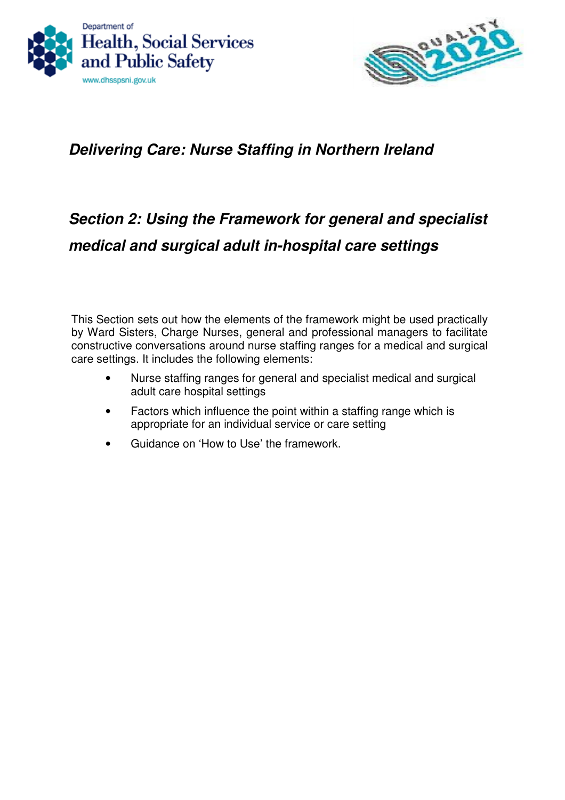



# **Delivering Care: Nurse Staffing in Northern Ireland**

# **Section 2: Using the Framework for general and specialist medical and surgical adult in-hospital care settings**

This Section sets out how the elements of the framework might be used practically by Ward Sisters, Charge Nurses, general and professional managers to facilitate constructive conversations around nurse staffing ranges for a medical and surgical care settings. It includes the following elements:

- Nurse staffing ranges for general and specialist medical and surgical adult care hospital settings
- Factors which influence the point within a staffing range which is appropriate for an individual service or care setting
- Guidance on 'How to Use' the framework.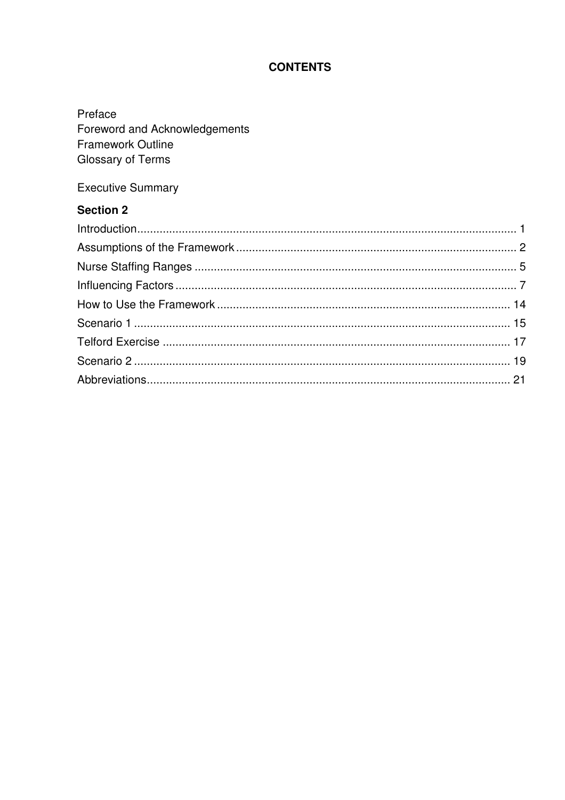# **CONTENTS**

| Preface<br>Foreword and Acknowledgements<br><b>Framework Outline</b><br>Glossary of Terms |   |
|-------------------------------------------------------------------------------------------|---|
| <b>Executive Summary</b>                                                                  |   |
| <b>Section 2</b>                                                                          |   |
|                                                                                           |   |
|                                                                                           |   |
| Nuros Ctaffing Dongoo                                                                     | Е |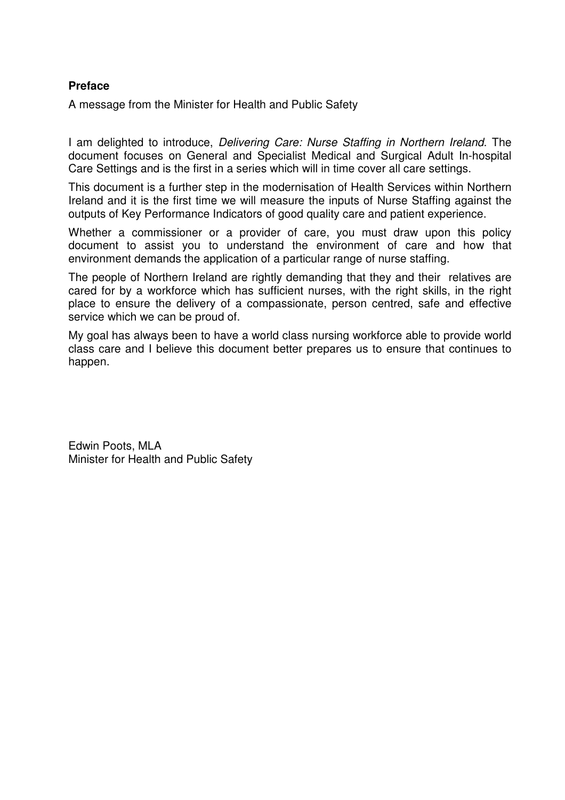#### **Preface**

A message from the Minister for Health and Public Safety

I am delighted to introduce, Delivering Care: Nurse Staffing in Northern Ireland. The document focuses on General and Specialist Medical and Surgical Adult In-hospital Care Settings and is the first in a series which will in time cover all care settings.

This document is a further step in the modernisation of Health Services within Northern Ireland and it is the first time we will measure the inputs of Nurse Staffing against the outputs of Key Performance Indicators of good quality care and patient experience.

Whether a commissioner or a provider of care, you must draw upon this policy document to assist you to understand the environment of care and how that environment demands the application of a particular range of nurse staffing.

The people of Northern Ireland are rightly demanding that they and their relatives are cared for by a workforce which has sufficient nurses, with the right skills, in the right place to ensure the delivery of a compassionate, person centred, safe and effective service which we can be proud of.

My goal has always been to have a world class nursing workforce able to provide world class care and I believe this document better prepares us to ensure that continues to happen.

Edwin Poots, MLA Minister for Health and Public Safety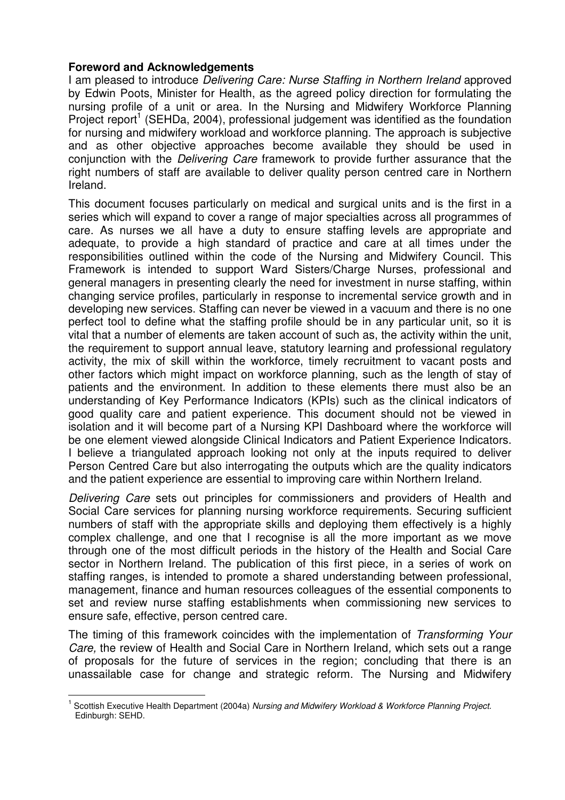#### **Foreword and Acknowledgements**

I am pleased to introduce Delivering Care: Nurse Staffing in Northern Ireland approved by Edwin Poots, Minister for Health, as the agreed policy direction for formulating the nursing profile of a unit or area. In the Nursing and Midwifery Workforce Planning Project report<sup>1</sup> (SEHDa, 2004), professional judgement was identified as the foundation for nursing and midwifery workload and workforce planning. The approach is subjective and as other objective approaches become available they should be used in conjunction with the Delivering Care framework to provide further assurance that the right numbers of staff are available to deliver quality person centred care in Northern Ireland.

This document focuses particularly on medical and surgical units and is the first in a series which will expand to cover a range of major specialties across all programmes of care. As nurses we all have a duty to ensure staffing levels are appropriate and adequate, to provide a high standard of practice and care at all times under the responsibilities outlined within the code of the Nursing and Midwifery Council. This Framework is intended to support Ward Sisters/Charge Nurses, professional and general managers in presenting clearly the need for investment in nurse staffing, within changing service profiles, particularly in response to incremental service growth and in developing new services. Staffing can never be viewed in a vacuum and there is no one perfect tool to define what the staffing profile should be in any particular unit, so it is vital that a number of elements are taken account of such as, the activity within the unit, the requirement to support annual leave, statutory learning and professional regulatory activity, the mix of skill within the workforce, timely recruitment to vacant posts and other factors which might impact on workforce planning, such as the length of stay of patients and the environment. In addition to these elements there must also be an understanding of Key Performance Indicators (KPIs) such as the clinical indicators of good quality care and patient experience. This document should not be viewed in isolation and it will become part of a Nursing KPI Dashboard where the workforce will be one element viewed alongside Clinical Indicators and Patient Experience Indicators. I believe a triangulated approach looking not only at the inputs required to deliver Person Centred Care but also interrogating the outputs which are the quality indicators and the patient experience are essential to improving care within Northern Ireland.

Delivering Care sets out principles for commissioners and providers of Health and Social Care services for planning nursing workforce requirements. Securing sufficient numbers of staff with the appropriate skills and deploying them effectively is a highly complex challenge, and one that I recognise is all the more important as we move through one of the most difficult periods in the history of the Health and Social Care sector in Northern Ireland. The publication of this first piece, in a series of work on staffing ranges, is intended to promote a shared understanding between professional, management, finance and human resources colleagues of the essential components to set and review nurse staffing establishments when commissioning new services to ensure safe, effective, person centred care.

The timing of this framework coincides with the implementation of Transforming Your Care, the review of Health and Social Care in Northern Ireland, which sets out a range of proposals for the future of services in the region; concluding that there is an unassailable case for change and strategic reform. The Nursing and Midwifery

<sup>1</sup> Scottish Executive Health Department (2004a) Nursing and Midwifery Workload & Workforce Planning Project. Edinburgh: SEHD.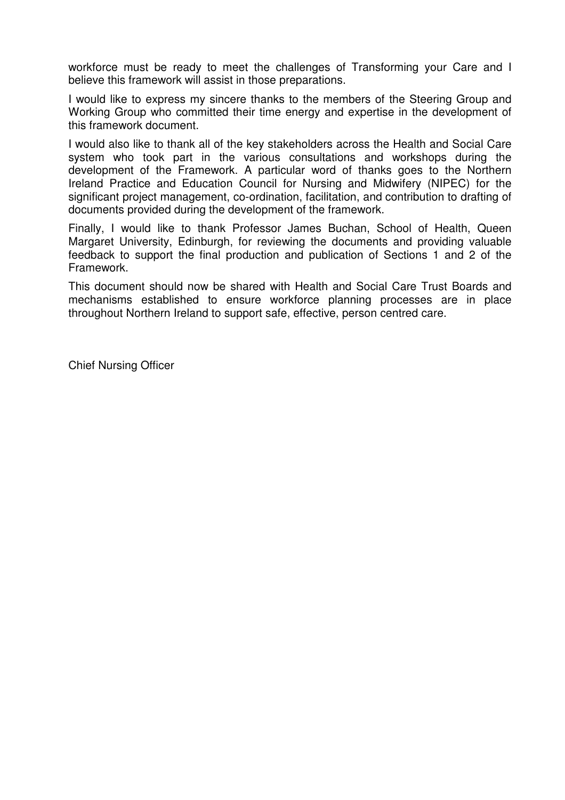workforce must be ready to meet the challenges of Transforming your Care and I believe this framework will assist in those preparations.

I would like to express my sincere thanks to the members of the Steering Group and Working Group who committed their time energy and expertise in the development of this framework document.

I would also like to thank all of the key stakeholders across the Health and Social Care system who took part in the various consultations and workshops during the development of the Framework. A particular word of thanks goes to the Northern Ireland Practice and Education Council for Nursing and Midwifery (NIPEC) for the significant project management, co-ordination, facilitation, and contribution to drafting of documents provided during the development of the framework.

Finally, I would like to thank Professor James Buchan, School of Health, Queen Margaret University, Edinburgh, for reviewing the documents and providing valuable feedback to support the final production and publication of Sections 1 and 2 of the Framework.

This document should now be shared with Health and Social Care Trust Boards and mechanisms established to ensure workforce planning processes are in place throughout Northern Ireland to support safe, effective, person centred care.

Chief Nursing Officer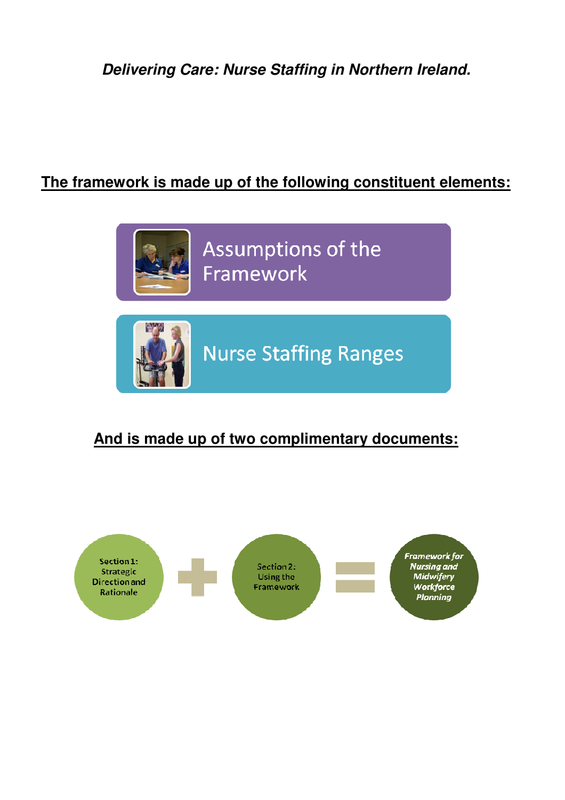**Delivering Care: Nurse Staffing in Northern Ireland.** 

# **The framework is made up of the following constituent elements:**



# **And is made up of two complimentary documents:**

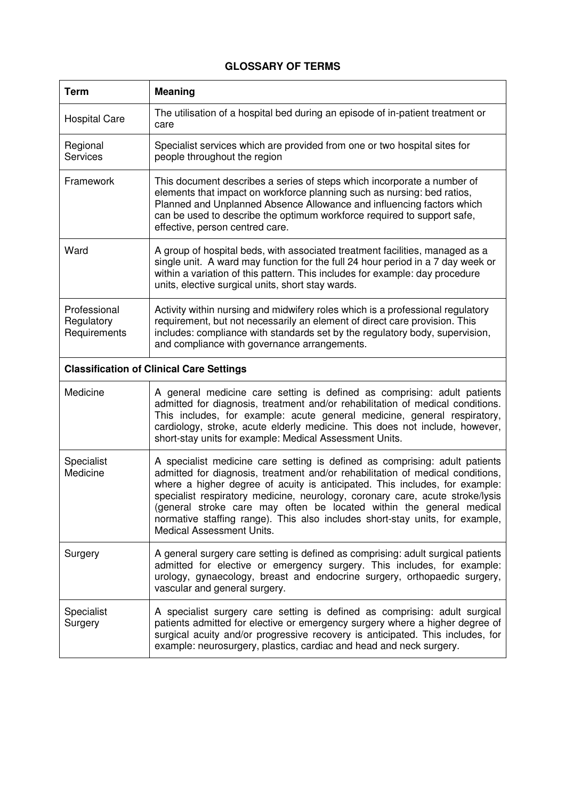#### **GLOSSARY OF TERMS**

| <b>Term</b>                                | <b>Meaning</b>                                                                                                                                                                                                                                                                                                                                                                                                                                                                                                            |
|--------------------------------------------|---------------------------------------------------------------------------------------------------------------------------------------------------------------------------------------------------------------------------------------------------------------------------------------------------------------------------------------------------------------------------------------------------------------------------------------------------------------------------------------------------------------------------|
| <b>Hospital Care</b>                       | The utilisation of a hospital bed during an episode of in-patient treatment or<br>care                                                                                                                                                                                                                                                                                                                                                                                                                                    |
| Regional<br>Services                       | Specialist services which are provided from one or two hospital sites for<br>people throughout the region                                                                                                                                                                                                                                                                                                                                                                                                                 |
| Framework                                  | This document describes a series of steps which incorporate a number of<br>elements that impact on workforce planning such as nursing: bed ratios,<br>Planned and Unplanned Absence Allowance and influencing factors which<br>can be used to describe the optimum workforce required to support safe,<br>effective, person centred care.                                                                                                                                                                                 |
| Ward                                       | A group of hospital beds, with associated treatment facilities, managed as a<br>single unit. A ward may function for the full 24 hour period in a 7 day week or<br>within a variation of this pattern. This includes for example: day procedure<br>units, elective surgical units, short stay wards.                                                                                                                                                                                                                      |
| Professional<br>Regulatory<br>Requirements | Activity within nursing and midwifery roles which is a professional regulatory<br>requirement, but not necessarily an element of direct care provision. This<br>includes: compliance with standards set by the regulatory body, supervision,<br>and compliance with governance arrangements.                                                                                                                                                                                                                              |
|                                            | <b>Classification of Clinical Care Settings</b>                                                                                                                                                                                                                                                                                                                                                                                                                                                                           |
| Medicine                                   | A general medicine care setting is defined as comprising: adult patients<br>admitted for diagnosis, treatment and/or rehabilitation of medical conditions.<br>This includes, for example: acute general medicine, general respiratory,<br>cardiology, stroke, acute elderly medicine. This does not include, however,<br>short-stay units for example: Medical Assessment Units.                                                                                                                                          |
| Specialist<br>Medicine                     | A specialist medicine care setting is defined as comprising: adult patients<br>admitted for diagnosis, treatment and/or rehabilitation of medical conditions,<br>where a higher degree of acuity is anticipated. This includes, for example:<br>specialist respiratory medicine, neurology, coronary care, acute stroke/lysis<br>(general stroke care may often be located within the general medical<br>normative staffing range). This also includes short-stay units, for example,<br><b>Medical Assessment Units.</b> |
| Surgery                                    | A general surgery care setting is defined as comprising: adult surgical patients<br>admitted for elective or emergency surgery. This includes, for example:<br>urology, gynaecology, breast and endocrine surgery, orthopaedic surgery,<br>vascular and general surgery.                                                                                                                                                                                                                                                  |
| Specialist<br>Surgery                      | A specialist surgery care setting is defined as comprising: adult surgical<br>patients admitted for elective or emergency surgery where a higher degree of<br>surgical acuity and/or progressive recovery is anticipated. This includes, for<br>example: neurosurgery, plastics, cardiac and head and neck surgery.                                                                                                                                                                                                       |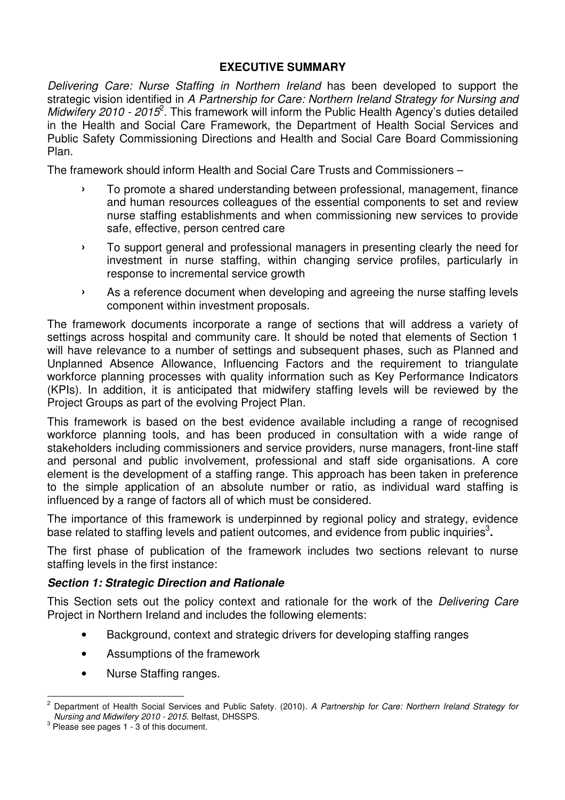## **EXECUTIVE SUMMARY**

Delivering Care: Nurse Staffing in Northern Ireland has been developed to support the strategic vision identified in A Partnership for Care: Northern Ireland Strategy for Nursing and Midwifery 2010 - 2015<sup>2</sup>. This framework will inform the Public Health Agency's duties detailed in the Health and Social Care Framework, the Department of Health Social Services and Public Safety Commissioning Directions and Health and Social Care Board Commissioning Plan.

The framework should inform Health and Social Care Trusts and Commissioners –

- › To promote a shared understanding between professional, management, finance and human resources colleagues of the essential components to set and review nurse staffing establishments and when commissioning new services to provide safe, effective, person centred care
- › To support general and professional managers in presenting clearly the need for investment in nurse staffing, within changing service profiles, particularly in response to incremental service growth
- › As a reference document when developing and agreeing the nurse staffing levels component within investment proposals.

The framework documents incorporate a range of sections that will address a variety of settings across hospital and community care. It should be noted that elements of Section 1 will have relevance to a number of settings and subsequent phases, such as Planned and Unplanned Absence Allowance, Influencing Factors and the requirement to triangulate workforce planning processes with quality information such as Key Performance Indicators (KPIs). In addition, it is anticipated that midwifery staffing levels will be reviewed by the Project Groups as part of the evolving Project Plan.

This framework is based on the best evidence available including a range of recognised workforce planning tools, and has been produced in consultation with a wide range of stakeholders including commissioners and service providers, nurse managers, front-line staff and personal and public involvement, professional and staff side organisations. A core element is the development of a staffing range. This approach has been taken in preference to the simple application of an absolute number or ratio, as individual ward staffing is influenced by a range of factors all of which must be considered.

The importance of this framework is underpinned by regional policy and strategy, evidence base related to staffing levels and patient outcomes, and evidence from public inquiries<sup>3</sup>.

The first phase of publication of the framework includes two sections relevant to nurse staffing levels in the first instance:

## **Section 1: Strategic Direction and Rationale**

This Section sets out the policy context and rationale for the work of the Delivering Care Project in Northern Ireland and includes the following elements:

- Background, context and strategic drivers for developing staffing ranges
- Assumptions of the framework
- Nurse Staffing ranges.

<sup>2</sup> Department of Health Social Services and Public Safety. (2010). A Partnership for Care: Northern Ireland Strategy for Nursing and Midwifery 2010 - 2015. Belfast, DHSSPS.

 $3$  Please see pages 1 - 3 of this document.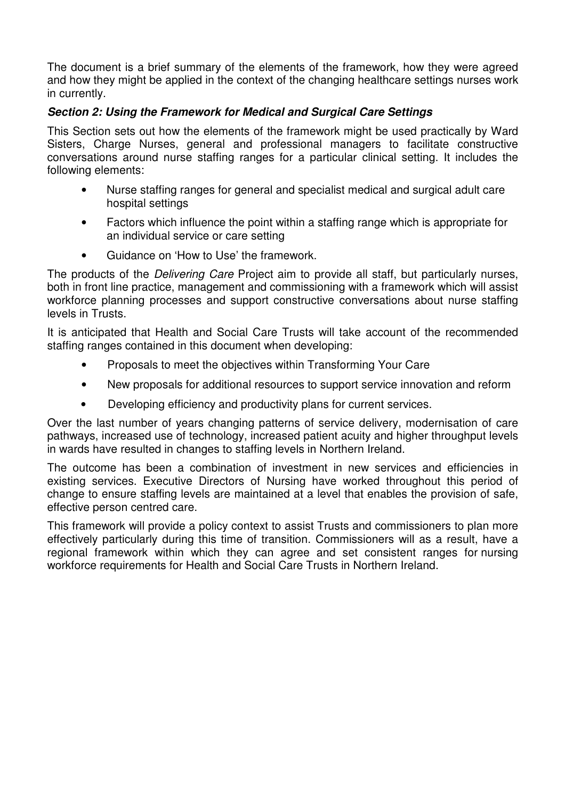The document is a brief summary of the elements of the framework, how they were agreed and how they might be applied in the context of the changing healthcare settings nurses work in currently.

#### **Section 2: Using the Framework for Medical and Surgical Care Settings**

This Section sets out how the elements of the framework might be used practically by Ward Sisters, Charge Nurses, general and professional managers to facilitate constructive conversations around nurse staffing ranges for a particular clinical setting. It includes the following elements:

- Nurse staffing ranges for general and specialist medical and surgical adult care hospital settings
- Factors which influence the point within a staffing range which is appropriate for an individual service or care setting
- Guidance on 'How to Use' the framework.

The products of the *Delivering Care* Project aim to provide all staff, but particularly nurses, both in front line practice, management and commissioning with a framework which will assist workforce planning processes and support constructive conversations about nurse staffing levels in Trusts.

It is anticipated that Health and Social Care Trusts will take account of the recommended staffing ranges contained in this document when developing:

- Proposals to meet the objectives within Transforming Your Care
- New proposals for additional resources to support service innovation and reform
- Developing efficiency and productivity plans for current services.

Over the last number of years changing patterns of service delivery, modernisation of care pathways, increased use of technology, increased patient acuity and higher throughput levels in wards have resulted in changes to staffing levels in Northern Ireland.

The outcome has been a combination of investment in new services and efficiencies in existing services. Executive Directors of Nursing have worked throughout this period of change to ensure staffing levels are maintained at a level that enables the provision of safe, effective person centred care.

This framework will provide a policy context to assist Trusts and commissioners to plan more effectively particularly during this time of transition. Commissioners will as a result, have a regional framework within which they can agree and set consistent ranges for nursing workforce requirements for Health and Social Care Trusts in Northern Ireland.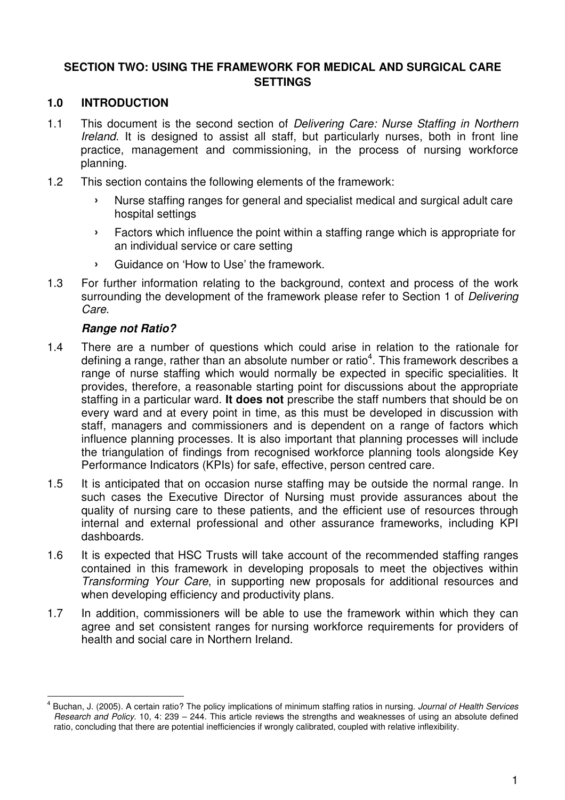## **SECTION TWO: USING THE FRAMEWORK FOR MEDICAL AND SURGICAL CARE SETTINGS**

#### **1.0 INTRODUCTION**

- 1.1 This document is the second section of Delivering Care: Nurse Staffing in Northern Ireland. It is designed to assist all staff, but particularly nurses, both in front line practice, management and commissioning, in the process of nursing workforce planning.
- 1.2 This section contains the following elements of the framework:
	- › Nurse staffing ranges for general and specialist medical and surgical adult care hospital settings
	- › Factors which influence the point within a staffing range which is appropriate for an individual service or care setting
	- › Guidance on 'How to Use' the framework.
- 1.3 For further information relating to the background, context and process of the work surrounding the development of the framework please refer to Section 1 of Delivering Care.

#### **Range not Ratio?**

- 1.4 There are a number of questions which could arise in relation to the rationale for defining a range, rather than an absolute number or ratio<sup>4</sup>. This framework describes a range of nurse staffing which would normally be expected in specific specialities. It provides, therefore, a reasonable starting point for discussions about the appropriate staffing in a particular ward. **It does not** prescribe the staff numbers that should be on every ward and at every point in time, as this must be developed in discussion with staff, managers and commissioners and is dependent on a range of factors which influence planning processes. It is also important that planning processes will include the triangulation of findings from recognised workforce planning tools alongside Key Performance Indicators (KPIs) for safe, effective, person centred care.
- 1.5 It is anticipated that on occasion nurse staffing may be outside the normal range. In such cases the Executive Director of Nursing must provide assurances about the quality of nursing care to these patients, and the efficient use of resources through internal and external professional and other assurance frameworks, including KPI dashboards.
- 1.6 It is expected that HSC Trusts will take account of the recommended staffing ranges contained in this framework in developing proposals to meet the objectives within Transforming Your Care, in supporting new proposals for additional resources and when developing efficiency and productivity plans.
- 1.7 In addition, commissioners will be able to use the framework within which they can agree and set consistent ranges for nursing workforce requirements for providers of health and social care in Northern Ireland.

<sup>4</sup> Buchan, J. (2005). A certain ratio? The policy implications of minimum staffing ratios in nursing. Journal of Health Services Research and Policy. 10, 4: 239 – 244. This article reviews the strengths and weaknesses of using an absolute defined ratio, concluding that there are potential inefficiencies if wrongly calibrated, coupled with relative inflexibility.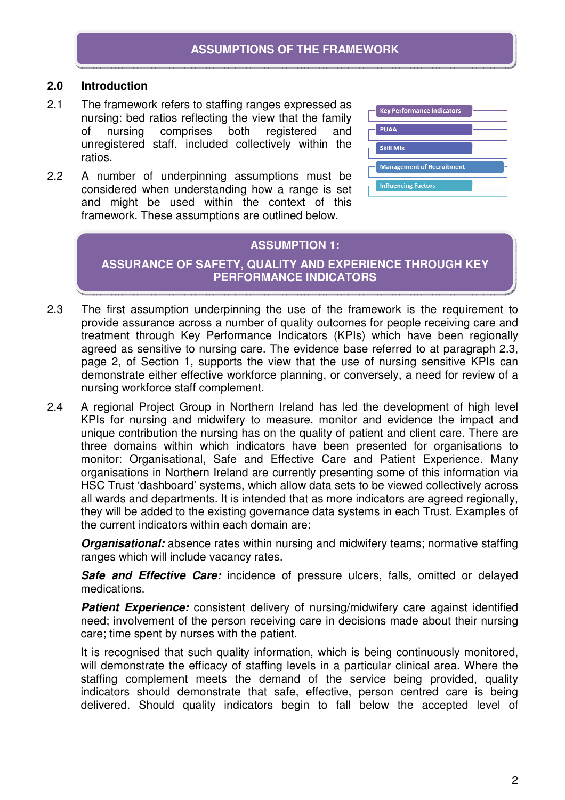#### **2.0 Introduction**

- 2.1 The framework refers to staffing ranges expressed as nursing: bed ratios reflecting the view that the family of nursing comprises both registered and unregistered staff, included collectively within the ratios.
- 2.2 A number of underpinning assumptions must be considered when understanding how a range is set and might be used within the context of this framework. These assumptions are outlined below.

| <b>Key Performance Indicators</b> |  |
|-----------------------------------|--|
| <b>PUAA</b>                       |  |
| <b>Skill Mix</b>                  |  |
| <b>Management of Recruitment</b>  |  |
| <b>Influencing Factors</b>        |  |

#### **ASSUMPTION 1:**

**ASSURANCE OF SAFETY, QUALITY AND EXPERIENCE THROUGH KEY PERFORMANCE INDICATORS** 

- 2.3 The first assumption underpinning the use of the framework is the requirement to provide assurance across a number of quality outcomes for people receiving care and treatment through Key Performance Indicators (KPIs) which have been regionally agreed as sensitive to nursing care. The evidence base referred to at paragraph 2.3, page 2, of Section 1, supports the view that the use of nursing sensitive KPIs can demonstrate either effective workforce planning, or conversely, a need for review of a nursing workforce staff complement.
- 2.4 A regional Project Group in Northern Ireland has led the development of high level KPIs for nursing and midwifery to measure, monitor and evidence the impact and unique contribution the nursing has on the quality of patient and client care. There are three domains within which indicators have been presented for organisations to monitor: Organisational, Safe and Effective Care and Patient Experience. Many organisations in Northern Ireland are currently presenting some of this information via HSC Trust 'dashboard' systems, which allow data sets to be viewed collectively across all wards and departments. It is intended that as more indicators are agreed regionally, they will be added to the existing governance data systems in each Trust. Examples of the current indicators within each domain are:

**Organisational:** absence rates within nursing and midwifery teams; normative staffing ranges which will include vacancy rates.

**Safe and Effective Care:** incidence of pressure ulcers, falls, omitted or delayed medications.

**Patient Experience:** consistent delivery of nursing/midwifery care against identified need; involvement of the person receiving care in decisions made about their nursing care; time spent by nurses with the patient.

It is recognised that such quality information, which is being continuously monitored, will demonstrate the efficacy of staffing levels in a particular clinical area. Where the staffing complement meets the demand of the service being provided, quality indicators should demonstrate that safe, effective, person centred care is being delivered. Should quality indicators begin to fall below the accepted level of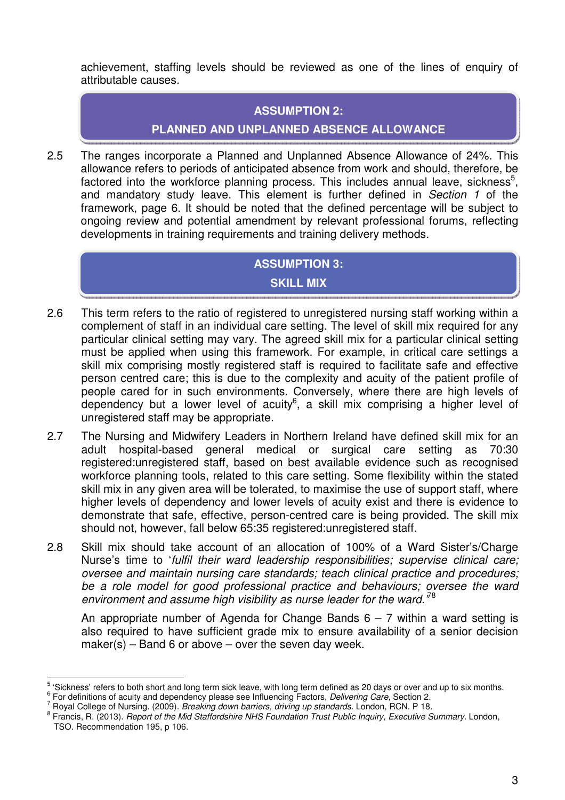achievement, staffing levels should be reviewed as one of the lines of enquiry of attributable causes.

#### **ASSUMPTION 2:**

## **PLANNED AND UNPLANNED ABSENCE ALLOWANCE**

2.5 The ranges incorporate a Planned and Unplanned Absence Allowance of 24%. This allowance refers to periods of anticipated absence from work and should, therefore, be factored into the workforce planning process. This includes annual leave, sickness<sup>5</sup>, and mandatory study leave. This element is further defined in Section 1 of the framework, page 6. It should be noted that the defined percentage will be subject to ongoing review and potential amendment by relevant professional forums, reflecting developments in training requirements and training delivery methods.

# **ASSUMPTION 3:**

## **SKILL MIX**

- 2.6 This term refers to the ratio of registered to unregistered nursing staff working within a complement of staff in an individual care setting. The level of skill mix required for any particular clinical setting may vary. The agreed skill mix for a particular clinical setting must be applied when using this framework. For example, in critical care settings a skill mix comprising mostly registered staff is required to facilitate safe and effective person centred care; this is due to the complexity and acuity of the patient profile of people cared for in such environments. Conversely, where there are high levels of dependency but a lower level of acuity<sup>6</sup>, a skill mix comprising a higher level of unregistered staff may be appropriate.
- 2.7 The Nursing and Midwifery Leaders in Northern Ireland have defined skill mix for an adult hospital-based general medical or surgical care setting as 70:30 registered:unregistered staff, based on best available evidence such as recognised workforce planning tools, related to this care setting. Some flexibility within the stated skill mix in any given area will be tolerated, to maximise the use of support staff, where higher levels of dependency and lower levels of acuity exist and there is evidence to demonstrate that safe, effective, person-centred care is being provided. The skill mix should not, however, fall below 65:35 registered:unregistered staff.
- 2.8 Skill mix should take account of an allocation of 100% of a Ward Sister's/Charge Nurse's time to 'fulfil their ward leadership responsibilities; supervise clinical care; oversee and maintain nursing care standards; teach clinical practice and procedures; be a role model for good professional practice and behaviours; oversee the ward environment and assume high visibility as nurse leader for the ward.<sup>78</sup>

An appropriate number of Agenda for Change Bands  $6 - 7$  within a ward setting is also required to have sufficient grade mix to ensure availability of a senior decision  $make(s) - Band 6$  or above – over the seven day week.

<sup>5</sup> 'Sickness' refers to both short and long term sick leave, with long term defined as 20 days or over and up to six months. 6

For definitions of acuity and dependency please see Influencing Factors, Delivering Care, Section 2.

<sup>7</sup> Royal College of Nursing. (2009). Breaking down barriers, driving up standards. London, RCN. P 18.

<sup>8</sup> Francis, R. (2013). Report of the Mid Staffordshire NHS Foundation Trust Public Inquiry, Executive Summary. London, TSO. Recommendation 195, p 106.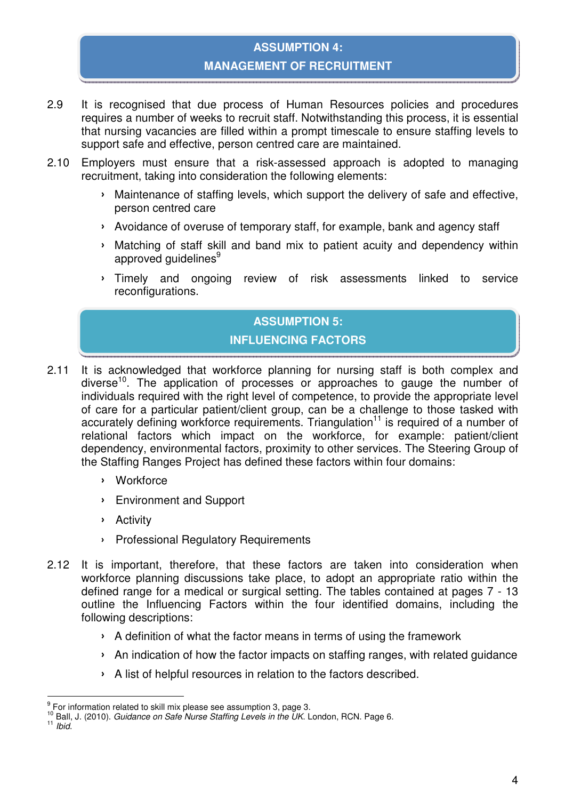# **ASSUMPTION 4: MANAGEMENT OF RECRUITMENT**

- 2.9 It is recognised that due process of Human Resources policies and procedures requires a number of weeks to recruit staff. Notwithstanding this process, it is essential that nursing vacancies are filled within a prompt timescale to ensure staffing levels to support safe and effective, person centred care are maintained.
- 2.10 Employers must ensure that a risk-assessed approach is adopted to managing recruitment, taking into consideration the following elements:
	- › Maintenance of staffing levels, which support the delivery of safe and effective, person centred care
	- › Avoidance of overuse of temporary staff, for example, bank and agency staff
	- › Matching of staff skill and band mix to patient acuity and dependency within approved quidelines<sup>9</sup>
	- › Timely and ongoing review of risk assessments linked to service reconfigurations.

# **ASSUMPTION 5:**

## **INFLUENCING FACTORS**

- 2.11 It is acknowledged that workforce planning for nursing staff is both complex and diverse<sup>10</sup>. The application of processes or approaches to gauge the number of individuals required with the right level of competence, to provide the appropriate level of care for a particular patient/client group, can be a challenge to those tasked with accurately defining workforce requirements. Triangulation<sup>11</sup> is required of a number of relational factors which impact on the workforce, for example: patient/client dependency, environmental factors, proximity to other services. The Steering Group of the Staffing Ranges Project has defined these factors within four domains:
	- › Workforce
	- › Environment and Support
	- › Activity
	- › Professional Regulatory Requirements
- 2.12 It is important, therefore, that these factors are taken into consideration when workforce planning discussions take place, to adopt an appropriate ratio within the defined range for a medical or surgical setting. The tables contained at pages 7 - 13 outline the Influencing Factors within the four identified domains, including the following descriptions:
	- › A definition of what the factor means in terms of using the framework
	- › An indication of how the factor impacts on staffing ranges, with related guidance
	- › A list of helpful resources in relation to the factors described.

 $\frac{9}{5}$  For information related to skill mix please see assumption 3, page 3.

 $10$  Ball, J. (2010). Guidance on Safe Nurse Staffing Levels in the UK. London, RCN. Page 6.

 $11$  Ibid.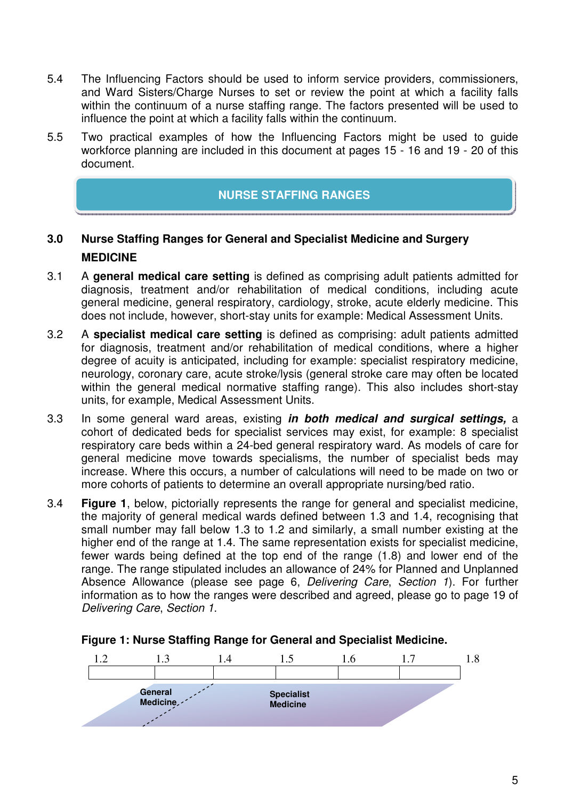- 5.4 The Influencing Factors should be used to inform service providers, commissioners, and Ward Sisters/Charge Nurses to set or review the point at which a facility falls within the continuum of a nurse staffing range. The factors presented will be used to influence the point at which a facility falls within the continuum.
- 5.5 Two practical examples of how the Influencing Factors might be used to guide workforce planning are included in this document at pages 15 - 16 and 19 - 20 of this document.

# **NURSE STAFFING RANGES**

# **3.0 Nurse Staffing Ranges for General and Specialist Medicine and Surgery MEDICINE**

- 3.1 A **general medical care setting** is defined as comprising adult patients admitted for diagnosis, treatment and/or rehabilitation of medical conditions, including acute general medicine, general respiratory, cardiology, stroke, acute elderly medicine. This does not include, however, short-stay units for example: Medical Assessment Units.
- 3.2 A **specialist medical care setting** is defined as comprising: adult patients admitted for diagnosis, treatment and/or rehabilitation of medical conditions, where a higher degree of acuity is anticipated, including for example: specialist respiratory medicine, neurology, coronary care, acute stroke/lysis (general stroke care may often be located within the general medical normative staffing range). This also includes short-stay units, for example, Medical Assessment Units.
- 3.3 In some general ward areas, existing **in both medical and surgical settings,** a cohort of dedicated beds for specialist services may exist, for example: 8 specialist respiratory care beds within a 24-bed general respiratory ward. As models of care for general medicine move towards specialisms, the number of specialist beds may increase. Where this occurs, a number of calculations will need to be made on two or more cohorts of patients to determine an overall appropriate nursing/bed ratio.
- 3.4 **Figure 1**, below, pictorially represents the range for general and specialist medicine, the majority of general medical wards defined between 1.3 and 1.4, recognising that small number may fall below 1.3 to 1.2 and similarly, a small number existing at the higher end of the range at 1.4. The same representation exists for specialist medicine, fewer wards being defined at the top end of the range (1.8) and lower end of the range. The range stipulated includes an allowance of 24% for Planned and Unplanned Absence Allowance (please see page 6, Delivering Care, Section 1). For further information as to how the ranges were described and agreed, please go to page 19 of Delivering Care, Section 1.



#### **Figure 1: Nurse Staffing Range for General and Specialist Medicine.**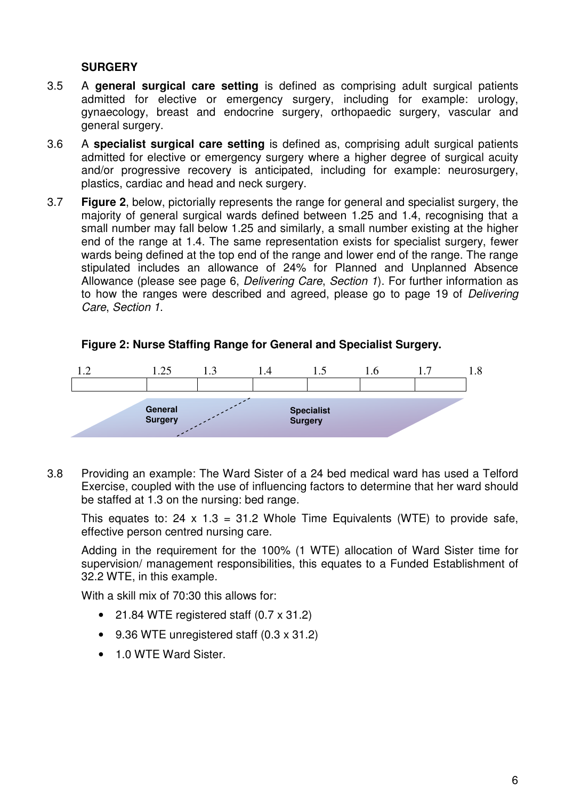## **SURGERY**

- 3.5 A **general surgical care setting** is defined as comprising adult surgical patients admitted for elective or emergency surgery, including for example: urology, gynaecology, breast and endocrine surgery, orthopaedic surgery, vascular and general surgery.
- 3.6 A **specialist surgical care setting** is defined as, comprising adult surgical patients admitted for elective or emergency surgery where a higher degree of surgical acuity and/or progressive recovery is anticipated, including for example: neurosurgery, plastics, cardiac and head and neck surgery.
- 3.7 **Figure 2**, below, pictorially represents the range for general and specialist surgery, the majority of general surgical wards defined between 1.25 and 1.4, recognising that a small number may fall below 1.25 and similarly, a small number existing at the higher end of the range at 1.4. The same representation exists for specialist surgery, fewer wards being defined at the top end of the range and lower end of the range. The range stipulated includes an allowance of 24% for Planned and Unplanned Absence Allowance (please see page 6, Delivering Care, Section 1). For further information as to how the ranges were described and agreed, please go to page 19 of Delivering Care, Section 1.



#### **Figure 2: Nurse Staffing Range for General and Specialist Surgery.**

3.8 Providing an example: The Ward Sister of a 24 bed medical ward has used a Telford Exercise, coupled with the use of influencing factors to determine that her ward should be staffed at 1.3 on the nursing: bed range.

This equates to: 24 x 1.3 = 31.2 Whole Time Equivalents (WTE) to provide safe, effective person centred nursing care.

Adding in the requirement for the 100% (1 WTE) allocation of Ward Sister time for supervision/ management responsibilities, this equates to a Funded Establishment of 32.2 WTE, in this example.

With a skill mix of 70:30 this allows for:

- 21.84 WTE registered staff (0.7 x 31.2)
- 9.36 WTE unregistered staff (0.3 x 31.2)
- 1.0 WTE Ward Sister.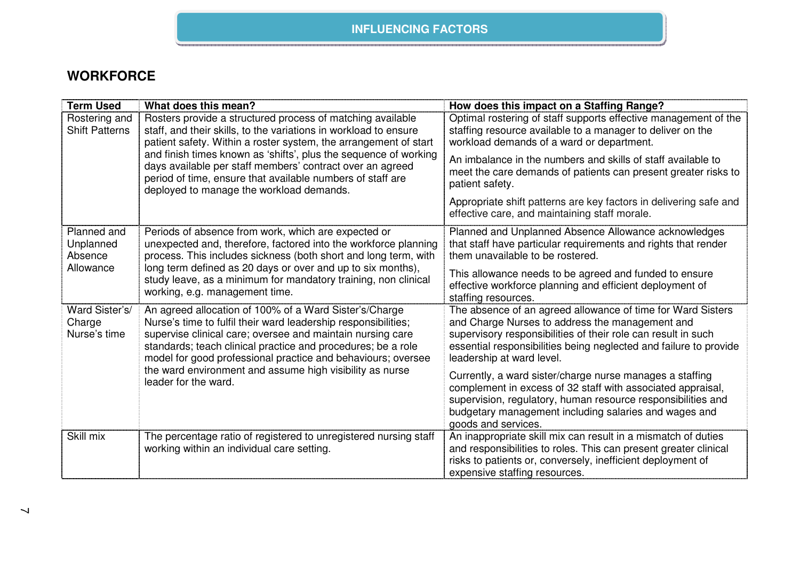## **INFLUENCING FACTORS**

# **WORKFORCE**

| <b>Term Used</b>                         | What does this mean?                                                                                                                                                                                                                                                                                                   | How does this impact on a Staffing Range?                                                                                                                                                                                                                                         |
|------------------------------------------|------------------------------------------------------------------------------------------------------------------------------------------------------------------------------------------------------------------------------------------------------------------------------------------------------------------------|-----------------------------------------------------------------------------------------------------------------------------------------------------------------------------------------------------------------------------------------------------------------------------------|
| Rostering and<br><b>Shift Patterns</b>   | Rosters provide a structured process of matching available<br>staff, and their skills, to the variations in workload to ensure<br>patient safety. Within a roster system, the arrangement of start                                                                                                                     | Optimal rostering of staff supports effective management of the<br>staffing resource available to a manager to deliver on the<br>workload demands of a ward or department.                                                                                                        |
|                                          | and finish times known as 'shifts', plus the sequence of working<br>days available per staff members' contract over an agreed<br>period of time, ensure that available numbers of staff are<br>deployed to manage the workload demands.                                                                                | An imbalance in the numbers and skills of staff available to<br>meet the care demands of patients can present greater risks to<br>patient safety.                                                                                                                                 |
|                                          |                                                                                                                                                                                                                                                                                                                        | Appropriate shift patterns are key factors in delivering safe and<br>effective care, and maintaining staff morale.                                                                                                                                                                |
| Planned and<br>Unplanned<br>Absence      | Periods of absence from work, which are expected or<br>unexpected and, therefore, factored into the workforce planning<br>process. This includes sickness (both short and long term, with                                                                                                                              | Planned and Unplanned Absence Allowance acknowledges<br>that staff have particular requirements and rights that render<br>them unavailable to be rostered.                                                                                                                        |
| Allowance                                | long term defined as 20 days or over and up to six months),<br>study leave, as a minimum for mandatory training, non clinical<br>working, e.g. management time.                                                                                                                                                        | This allowance needs to be agreed and funded to ensure<br>effective workforce planning and efficient deployment of<br>staffing resources.                                                                                                                                         |
| Ward Sister's/<br>Charge<br>Nurse's time | An agreed allocation of 100% of a Ward Sister's/Charge<br>Nurse's time to fulfil their ward leadership responsibilities;<br>supervise clinical care; oversee and maintain nursing care<br>standards; teach clinical practice and procedures; be a role<br>model for good professional practice and behaviours; oversee | The absence of an agreed allowance of time for Ward Sisters<br>and Charge Nurses to address the management and<br>supervisory responsibilities of their role can result in such<br>essential responsibilities being neglected and failure to provide<br>leadership at ward level. |
|                                          | the ward environment and assume high visibility as nurse<br>leader for the ward.                                                                                                                                                                                                                                       | Currently, a ward sister/charge nurse manages a staffing<br>complement in excess of 32 staff with associated appraisal,<br>supervision, regulatory, human resource responsibilities and<br>budgetary management including salaries and wages and<br>goods and services.           |
| Skill mix                                | The percentage ratio of registered to unregistered nursing staff<br>working within an individual care setting.                                                                                                                                                                                                         | An inappropriate skill mix can result in a mismatch of duties<br>and responsibilities to roles. This can present greater clinical<br>risks to patients or, conversely, inefficient deployment of<br>expensive staffing resources.                                                 |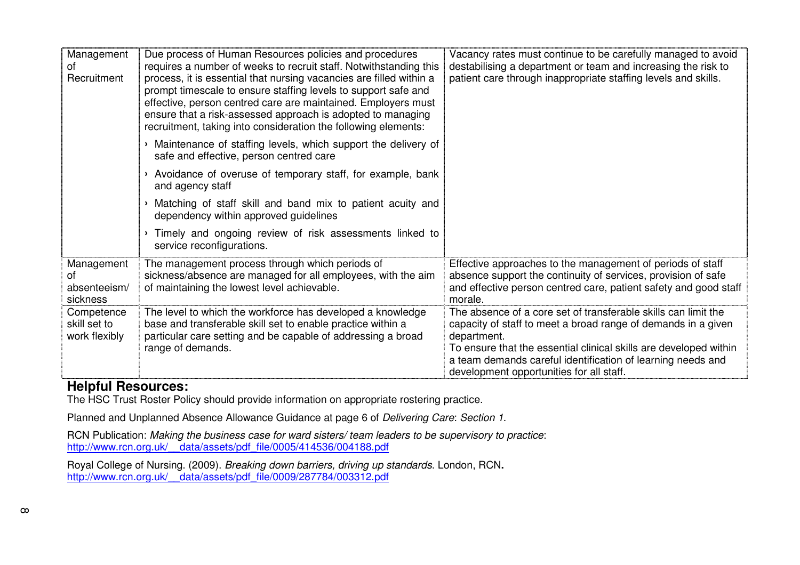| Management<br>of<br>Recruitment              | Due process of Human Resources policies and procedures<br>requires a number of weeks to recruit staff. Notwithstanding this<br>process, it is essential that nursing vacancies are filled within a<br>prompt timescale to ensure staffing levels to support safe and<br>effective, person centred care are maintained. Employers must<br>ensure that a risk-assessed approach is adopted to managing<br>recruitment, taking into consideration the following elements: | Vacancy rates must continue to be carefully managed to avoid<br>destabilising a department or team and increasing the risk to<br>patient care through inappropriate staffing levels and skills.                                                                                                                                |
|----------------------------------------------|------------------------------------------------------------------------------------------------------------------------------------------------------------------------------------------------------------------------------------------------------------------------------------------------------------------------------------------------------------------------------------------------------------------------------------------------------------------------|--------------------------------------------------------------------------------------------------------------------------------------------------------------------------------------------------------------------------------------------------------------------------------------------------------------------------------|
|                                              | Maintenance of staffing levels, which support the delivery of<br>$\blacktriangleright$<br>safe and effective, person centred care                                                                                                                                                                                                                                                                                                                                      |                                                                                                                                                                                                                                                                                                                                |
|                                              | Avoidance of overuse of temporary staff, for example, bank<br>and agency staff                                                                                                                                                                                                                                                                                                                                                                                         |                                                                                                                                                                                                                                                                                                                                |
|                                              | Matching of staff skill and band mix to patient acuity and<br>dependency within approved guidelines                                                                                                                                                                                                                                                                                                                                                                    |                                                                                                                                                                                                                                                                                                                                |
|                                              | Timely and ongoing review of risk assessments linked to<br>$\blacktriangleright$<br>service reconfigurations.                                                                                                                                                                                                                                                                                                                                                          |                                                                                                                                                                                                                                                                                                                                |
| Management<br>οf<br>absenteeism/<br>sickness | The management process through which periods of<br>sickness/absence are managed for all employees, with the aim<br>of maintaining the lowest level achievable.                                                                                                                                                                                                                                                                                                         | Effective approaches to the management of periods of staff<br>absence support the continuity of services, provision of safe<br>and effective person centred care, patient safety and good staff<br>morale.                                                                                                                     |
| Competence<br>skill set to<br>work flexibly  | The level to which the workforce has developed a knowledge<br>base and transferable skill set to enable practice within a<br>particular care setting and be capable of addressing a broad<br>range of demands.                                                                                                                                                                                                                                                         | The absence of a core set of transferable skills can limit the<br>capacity of staff to meet a broad range of demands in a given<br>department.<br>To ensure that the essential clinical skills are developed within<br>a team demands careful identification of learning needs and<br>development opportunities for all staff. |

# **Helpful Resources:**

The HSC Trust Roster Policy should provide information on appropriate rostering practice.

Planned and Unplanned Absence Allowance Guidance at page 6 of Delivering Care: Section 1.

RCN Publication: Making the business case for ward sisters/ team leaders to be supervisory to practice: http://www.rcn.org.uk/\_\_data/assets/pdf\_file/0005/414536/004188.pdf

Royal College of Nursing. (2009). Breaking down barriers, driving up standards. London, RCN**.** http://www.rcn.org.uk/\_\_data/assets/pdf\_file/0009/287784/003312.pdf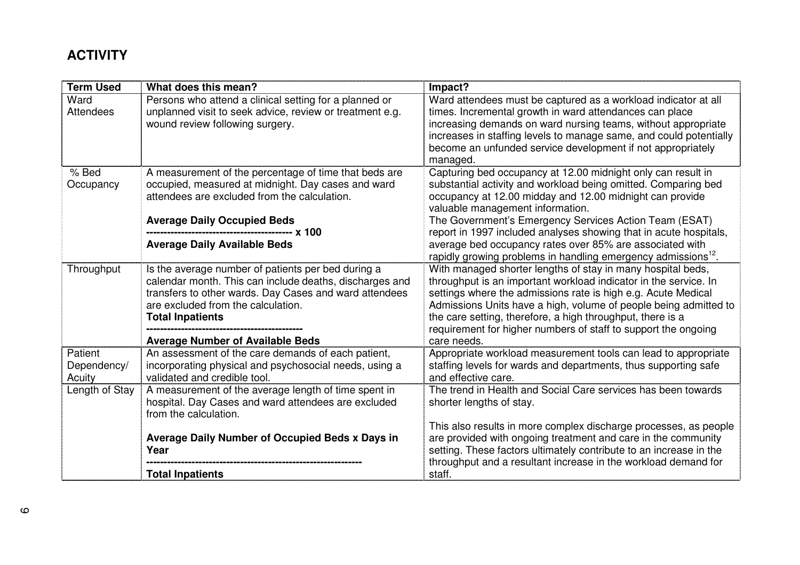# **ACTIVITY**

| <b>Term Used</b>                 | What does this mean?                                                                                                                                                                                                                     | Impact?                                                                                                                                                                                                                                                                                                                                                                                              |
|----------------------------------|------------------------------------------------------------------------------------------------------------------------------------------------------------------------------------------------------------------------------------------|------------------------------------------------------------------------------------------------------------------------------------------------------------------------------------------------------------------------------------------------------------------------------------------------------------------------------------------------------------------------------------------------------|
| Ward<br><b>Attendees</b>         | Persons who attend a clinical setting for a planned or<br>unplanned visit to seek advice, review or treatment e.g.<br>wound review following surgery.                                                                                    | Ward attendees must be captured as a workload indicator at all<br>times. Incremental growth in ward attendances can place<br>increasing demands on ward nursing teams, without appropriate<br>increases in staffing levels to manage same, and could potentially<br>become an unfunded service development if not appropriately<br>managed.                                                          |
| % Bed<br>Occupancy               | A measurement of the percentage of time that beds are<br>occupied, measured at midnight. Day cases and ward<br>attendees are excluded from the calculation.<br><b>Average Daily Occupied Beds</b>                                        | Capturing bed occupancy at 12.00 midnight only can result in<br>substantial activity and workload being omitted. Comparing bed<br>occupancy at 12.00 midday and 12.00 midnight can provide<br>valuable management information.<br>The Government's Emergency Services Action Team (ESAT)                                                                                                             |
|                                  | <b>Average Daily Available Beds</b>                                                                                                                                                                                                      | report in 1997 included analyses showing that in acute hospitals,<br>average bed occupancy rates over 85% are associated with<br>rapidly growing problems in handling emergency admissions <sup>12</sup> .                                                                                                                                                                                           |
| Throughput                       | Is the average number of patients per bed during a<br>calendar month. This can include deaths, discharges and<br>transfers to other wards. Day Cases and ward attendees<br>are excluded from the calculation.<br><b>Total Inpatients</b> | With managed shorter lengths of stay in many hospital beds,<br>throughput is an important workload indicator in the service. In<br>settings where the admissions rate is high e.g. Acute Medical<br>Admissions Units have a high, volume of people being admitted to<br>the care setting, therefore, a high throughput, there is a<br>requirement for higher numbers of staff to support the ongoing |
|                                  | <b>Average Number of Available Beds</b>                                                                                                                                                                                                  | care needs.                                                                                                                                                                                                                                                                                                                                                                                          |
| Patient<br>Dependency/<br>Acuity | An assessment of the care demands of each patient,<br>incorporating physical and psychosocial needs, using a<br>validated and credible tool.                                                                                             | Appropriate workload measurement tools can lead to appropriate<br>staffing levels for wards and departments, thus supporting safe<br>and effective care.                                                                                                                                                                                                                                             |
| Length of Stay                   | A measurement of the average length of time spent in<br>hospital. Day Cases and ward attendees are excluded<br>from the calculation.                                                                                                     | The trend in Health and Social Care services has been towards<br>shorter lengths of stay.                                                                                                                                                                                                                                                                                                            |
|                                  | Average Daily Number of Occupied Beds x Days in<br>Year                                                                                                                                                                                  | This also results in more complex discharge processes, as people<br>are provided with ongoing treatment and care in the community<br>setting. These factors ultimately contribute to an increase in the<br>throughput and a resultant increase in the workload demand for                                                                                                                            |
|                                  | <b>Total Inpatients</b>                                                                                                                                                                                                                  | staff.                                                                                                                                                                                                                                                                                                                                                                                               |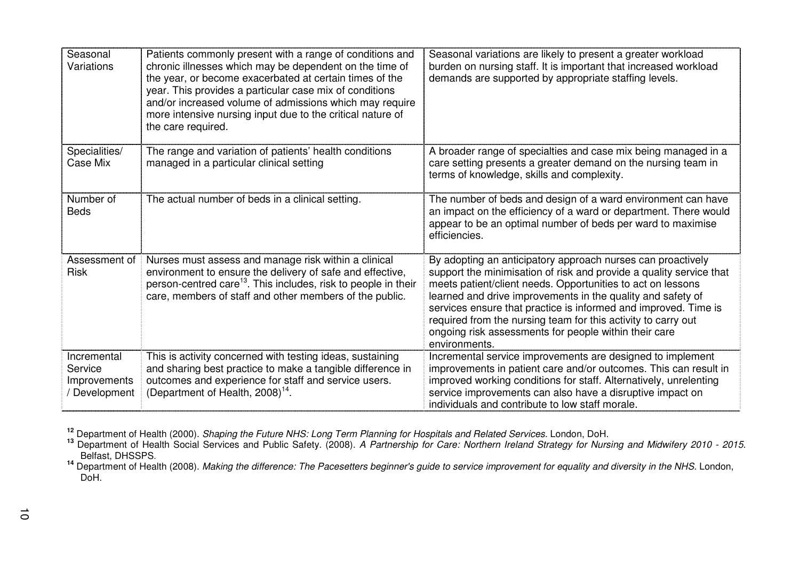| Seasonal<br>Variations                                  | Patients commonly present with a range of conditions and<br>chronic illnesses which may be dependent on the time of<br>the year, or become exacerbated at certain times of the<br>year. This provides a particular case mix of conditions<br>and/or increased volume of admissions which may require<br>more intensive nursing input due to the critical nature of<br>the care required. | Seasonal variations are likely to present a greater workload<br>burden on nursing staff. It is important that increased workload<br>demands are supported by appropriate staffing levels.                                                                                                                                                                                                                                                                                      |
|---------------------------------------------------------|------------------------------------------------------------------------------------------------------------------------------------------------------------------------------------------------------------------------------------------------------------------------------------------------------------------------------------------------------------------------------------------|--------------------------------------------------------------------------------------------------------------------------------------------------------------------------------------------------------------------------------------------------------------------------------------------------------------------------------------------------------------------------------------------------------------------------------------------------------------------------------|
| Specialities/<br>Case Mix                               | The range and variation of patients' health conditions<br>managed in a particular clinical setting                                                                                                                                                                                                                                                                                       | A broader range of specialties and case mix being managed in a<br>care setting presents a greater demand on the nursing team in<br>terms of knowledge, skills and complexity.                                                                                                                                                                                                                                                                                                  |
| Number of<br><b>Beds</b>                                | The actual number of beds in a clinical setting.                                                                                                                                                                                                                                                                                                                                         | The number of beds and design of a ward environment can have<br>an impact on the efficiency of a ward or department. There would<br>appear to be an optimal number of beds per ward to maximise<br>efficiencies.                                                                                                                                                                                                                                                               |
| Assessment of<br><b>Risk</b>                            | Nurses must assess and manage risk within a clinical<br>environment to ensure the delivery of safe and effective,<br>person-centred care <sup>13</sup> . This includes, risk to people in their<br>care, members of staff and other members of the public.                                                                                                                               | By adopting an anticipatory approach nurses can proactively<br>support the minimisation of risk and provide a quality service that<br>meets patient/client needs. Opportunities to act on lessons<br>learned and drive improvements in the quality and safety of<br>services ensure that practice is informed and improved. Time is<br>required from the nursing team for this activity to carry out<br>ongoing risk assessments for people within their care<br>environments. |
| Incremental<br>Service<br>Improvements<br>/ Development | This is activity concerned with testing ideas, sustaining<br>and sharing best practice to make a tangible difference in<br>outcomes and experience for staff and service users.<br>(Department of Health, 2008) <sup>14</sup> .                                                                                                                                                          | Incremental service improvements are designed to implement<br>improvements in patient care and/or outcomes. This can result in<br>improved working conditions for staff. Alternatively, unrelenting<br>service improvements can also have a disruptive impact on<br>individuals and contribute to low staff morale.                                                                                                                                                            |

<sup>12</sup> Department of Health (2000). *Shaping the Future NHS: Long Term Planning for Hospitals and Related Services.* London, DoH.<br><sup>13</sup> Department of Health Social Services and Public Safety. (2008). *A Partnership for Care:* 

<sup>14</sup> Department of Health (2008). *Making the difference: The Pacesetters beginner's guide to service improvement for equality and diversity in the NHS. London,* DoH.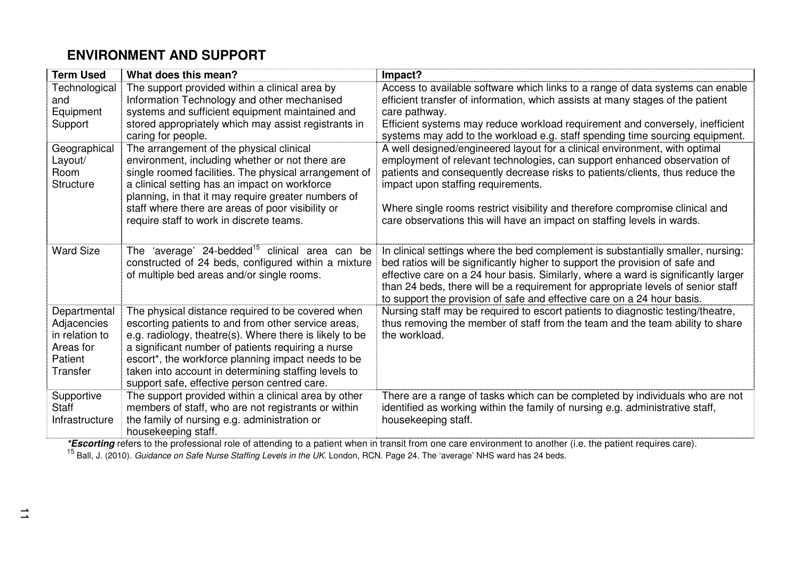# **ENVIRONMENT AND SUPPORT**

| <b>Term Used</b>                                                                  | What does this mean?                                                                                                                                                                                                                                                                                                                                                                    | Impact?                                                                                                                                                                                                                                                                                                                                                                                                               |
|-----------------------------------------------------------------------------------|-----------------------------------------------------------------------------------------------------------------------------------------------------------------------------------------------------------------------------------------------------------------------------------------------------------------------------------------------------------------------------------------|-----------------------------------------------------------------------------------------------------------------------------------------------------------------------------------------------------------------------------------------------------------------------------------------------------------------------------------------------------------------------------------------------------------------------|
| Technological<br>and<br>Equipment<br>Support                                      | The support provided within a clinical area by<br>Information Technology and other mechanised<br>systems and sufficient equipment maintained and<br>stored appropriately which may assist registrants in<br>caring for people.                                                                                                                                                          | Access to available software which links to a range of data systems can enable<br>efficient transfer of information, which assists at many stages of the patient<br>care pathway.<br>Efficient systems may reduce workload requirement and conversely, inefficient<br>systems may add to the workload e.g. staff spending time sourcing equipment.                                                                    |
| Geographical<br>Layout/<br>Room<br>Structure                                      | The arrangement of the physical clinical<br>environment, including whether or not there are<br>single roomed facilities. The physical arrangement of<br>a clinical setting has an impact on workforce<br>planning, in that it may require greater numbers of                                                                                                                            | A well designed/engineered layout for a clinical environment, with optimal<br>employment of relevant technologies, can support enhanced observation of<br>patients and consequently decrease risks to patients/clients, thus reduce the<br>impact upon staffing requirements.                                                                                                                                         |
|                                                                                   | staff where there are areas of poor visibility or<br>require staff to work in discrete teams.                                                                                                                                                                                                                                                                                           | Where single rooms restrict visibility and therefore compromise clinical and<br>care observations this will have an impact on staffing levels in wards.                                                                                                                                                                                                                                                               |
| <b>Ward Size</b>                                                                  | The 'average' 24-bedded <sup>15</sup> clinical area can be<br>constructed of 24 beds, configured within a mixture<br>of multiple bed areas and/or single rooms.                                                                                                                                                                                                                         | In clinical settings where the bed complement is substantially smaller, nursing:<br>bed ratios will be significantly higher to support the provision of safe and<br>effective care on a 24 hour basis. Similarly, where a ward is significantly larger<br>than 24 beds, there will be a requirement for appropriate levels of senior staff<br>to support the provision of safe and effective care on a 24 hour basis. |
| Departmental<br>Adjacencies<br>in relation to<br>Areas for<br>Patient<br>Transfer | The physical distance required to be covered when<br>escorting patients to and from other service areas,<br>e.g. radiology, theatre(s). Where there is likely to be<br>a significant number of patients requiring a nurse<br>escort*, the workforce planning impact needs to be<br>taken into account in determining staffing levels to<br>support safe, effective person centred care. | Nursing staff may be required to escort patients to diagnostic testing/theatre,<br>thus removing the member of staff from the team and the team ability to share<br>the workload.                                                                                                                                                                                                                                     |
| Supportive<br>Staff<br>Infrastructure                                             | The support provided within a clinical area by other<br>members of staff, who are not registrants or within<br>the family of nursing e.g. administration or<br>housekeeping staff.                                                                                                                                                                                                      | There are a range of tasks which can be completed by individuals who are not<br>identified as working within the family of nursing e.g. administrative staff,<br>housekeeping staff.                                                                                                                                                                                                                                  |

\***Escorting** refers to the professional role of attending to a patient when in transit from one care environment to another (i.e. the patient requires care).<br><sup>15</sup> Ball, J. (2010). *Guidance on Safe Nurse Staffing Levels in*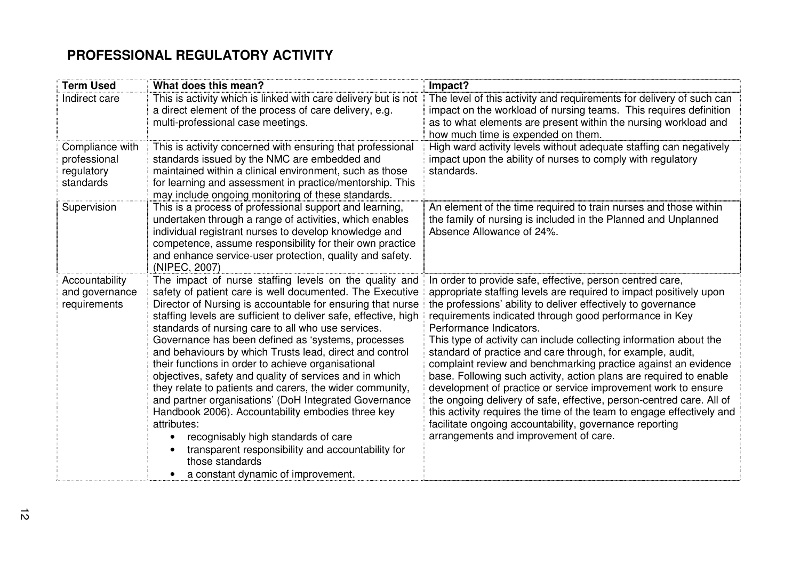# **PROFESSIONAL REGULATORY ACTIVITY**

| <b>Term Used</b>                                           | What does this mean?                                                                                                                                                                                                                                                                                                                                                                                                                                                                                                                                                                                                                                                                                                                                                                                                                                                                                   | Impact?                                                                                                                                                                                                                                                                                                                                                                                                                                                                                                                                                                                                                                                                                                                                                                                                                                                                                 |
|------------------------------------------------------------|--------------------------------------------------------------------------------------------------------------------------------------------------------------------------------------------------------------------------------------------------------------------------------------------------------------------------------------------------------------------------------------------------------------------------------------------------------------------------------------------------------------------------------------------------------------------------------------------------------------------------------------------------------------------------------------------------------------------------------------------------------------------------------------------------------------------------------------------------------------------------------------------------------|-----------------------------------------------------------------------------------------------------------------------------------------------------------------------------------------------------------------------------------------------------------------------------------------------------------------------------------------------------------------------------------------------------------------------------------------------------------------------------------------------------------------------------------------------------------------------------------------------------------------------------------------------------------------------------------------------------------------------------------------------------------------------------------------------------------------------------------------------------------------------------------------|
| Indirect care                                              | This is activity which is linked with care delivery but is not<br>a direct element of the process of care delivery, e.g.<br>multi-professional case meetings.                                                                                                                                                                                                                                                                                                                                                                                                                                                                                                                                                                                                                                                                                                                                          | The level of this activity and requirements for delivery of such can<br>impact on the workload of nursing teams. This requires definition<br>as to what elements are present within the nursing workload and<br>how much time is expended on them.                                                                                                                                                                                                                                                                                                                                                                                                                                                                                                                                                                                                                                      |
| Compliance with<br>professional<br>regulatory<br>standards | This is activity concerned with ensuring that professional<br>standards issued by the NMC are embedded and<br>maintained within a clinical environment, such as those<br>for learning and assessment in practice/mentorship. This<br>may include ongoing monitoring of these standards.                                                                                                                                                                                                                                                                                                                                                                                                                                                                                                                                                                                                                | High ward activity levels without adequate staffing can negatively<br>impact upon the ability of nurses to comply with regulatory<br>standards.                                                                                                                                                                                                                                                                                                                                                                                                                                                                                                                                                                                                                                                                                                                                         |
| Supervision                                                | This is a process of professional support and learning,<br>undertaken through a range of activities, which enables<br>individual registrant nurses to develop knowledge and<br>competence, assume responsibility for their own practice<br>and enhance service-user protection, quality and safety.<br>(NIPEC, 2007)                                                                                                                                                                                                                                                                                                                                                                                                                                                                                                                                                                                   | An element of the time required to train nurses and those within<br>the family of nursing is included in the Planned and Unplanned<br>Absence Allowance of 24%.                                                                                                                                                                                                                                                                                                                                                                                                                                                                                                                                                                                                                                                                                                                         |
| Accountability<br>and governance<br>requirements           | The impact of nurse staffing levels on the quality and<br>safety of patient care is well documented. The Executive<br>Director of Nursing is accountable for ensuring that nurse<br>staffing levels are sufficient to deliver safe, effective, high<br>standards of nursing care to all who use services.<br>Governance has been defined as 'systems, processes<br>and behaviours by which Trusts lead, direct and control<br>their functions in order to achieve organisational<br>objectives, safety and quality of services and in which<br>they relate to patients and carers, the wider community,<br>and partner organisations' (DoH Integrated Governance<br>Handbook 2006). Accountability embodies three key<br>attributes:<br>recognisably high standards of care<br>transparent responsibility and accountability for<br>those standards<br>a constant dynamic of improvement.<br>$\bullet$ | In order to provide safe, effective, person centred care,<br>appropriate staffing levels are required to impact positively upon<br>the professions' ability to deliver effectively to governance<br>requirements indicated through good performance in Key<br>Performance Indicators.<br>This type of activity can include collecting information about the<br>standard of practice and care through, for example, audit,<br>complaint review and benchmarking practice against an evidence<br>base. Following such activity, action plans are required to enable<br>development of practice or service improvement work to ensure<br>the ongoing delivery of safe, effective, person-centred care. All of<br>this activity requires the time of the team to engage effectively and<br>facilitate ongoing accountability, governance reporting<br>arrangements and improvement of care. |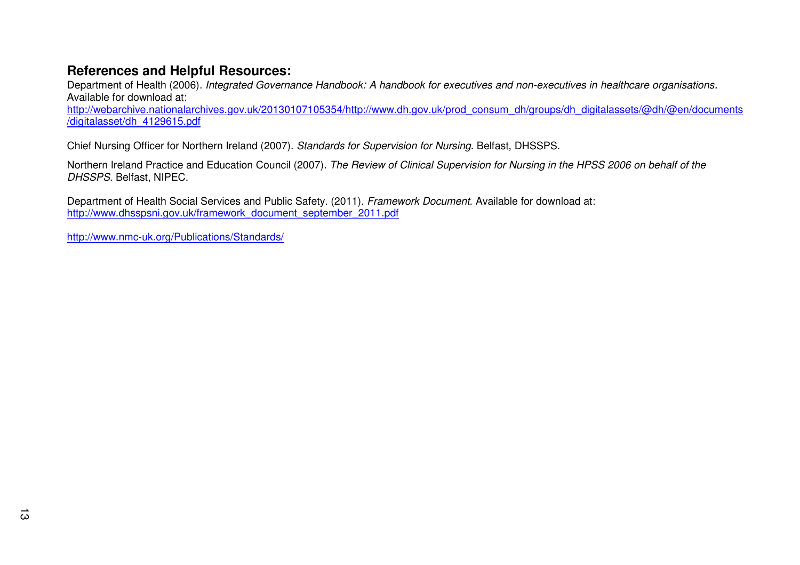# **References and Helpful Resources:**

Department of Health (2006). Integrated Governance Handbook: A handbook for executives and non-executives in healthcare organisations. Available for download at:

 http://webarchive.nationalarchives.gov.uk/20130107105354/http://www.dh.gov.uk/prod\_consum\_dh/groups/dh\_digitalassets/@dh/@en/documents/digitalasset/dh\_4129615.pdf

Chief Nursing Officer for Northern Ireland (2007). Standards for Supervision for Nursing. Belfast, DHSSPS.

Northern Ireland Practice and Education Council (2007). The Review of Clinical Supervision for Nursing in the HPSS 2006 on behalf of the DHSSPS. Belfast, NIPEC.

Department of Health Social Services and Public Safety. (2011). Framework Document. Available for download at: http://www.dhsspsni.gov.uk/framework\_document\_september\_2011.pdf

http://www.nmc-uk.org/Publications/Standards/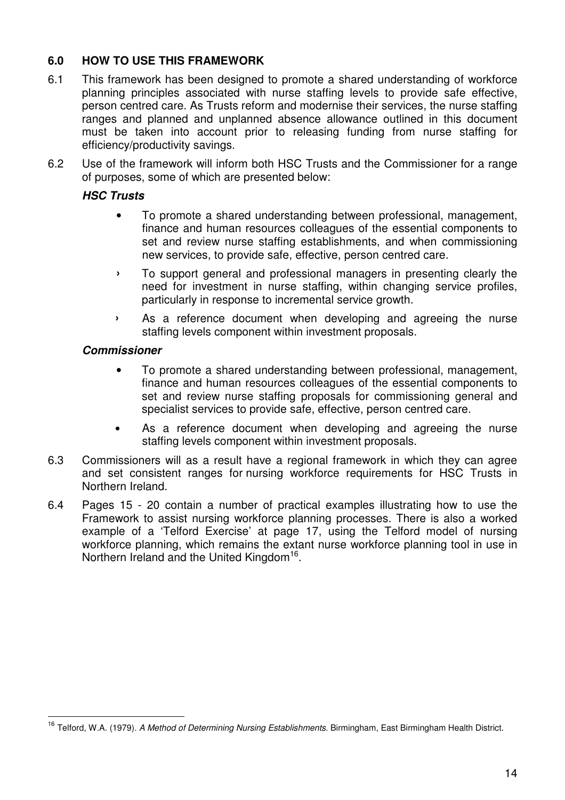# **6.0 HOW TO USE THIS FRAMEWORK**

- 6.1 This framework has been designed to promote a shared understanding of workforce planning principles associated with nurse staffing levels to provide safe effective, person centred care. As Trusts reform and modernise their services, the nurse staffing ranges and planned and unplanned absence allowance outlined in this document must be taken into account prior to releasing funding from nurse staffing for efficiency/productivity savings.
- 6.2 Use of the framework will inform both HSC Trusts and the Commissioner for a range of purposes, some of which are presented below:

# **HSC Trusts**

- To promote a shared understanding between professional, management, finance and human resources colleagues of the essential components to set and review nurse staffing establishments, and when commissioning new services, to provide safe, effective, person centred care.
- › To support general and professional managers in presenting clearly the need for investment in nurse staffing, within changing service profiles, particularly in response to incremental service growth.
- › As a reference document when developing and agreeing the nurse staffing levels component within investment proposals.

## **Commissioner**

- To promote a shared understanding between professional, management, finance and human resources colleagues of the essential components to set and review nurse staffing proposals for commissioning general and specialist services to provide safe, effective, person centred care.
- As a reference document when developing and agreeing the nurse staffing levels component within investment proposals.
- 6.3 Commissioners will as a result have a regional framework in which they can agree and set consistent ranges for nursing workforce requirements for HSC Trusts in Northern Ireland.
- 6.4 Pages 15 20 contain a number of practical examples illustrating how to use the Framework to assist nursing workforce planning processes. There is also a worked example of a 'Telford Exercise' at page 17, using the Telford model of nursing workforce planning, which remains the extant nurse workforce planning tool in use in Northern Ireland and the United Kingdom<sup>16</sup>.

<sup>&</sup>lt;sup>16</sup> Telford, W.A. (1979). A Method of Determining Nursing Establishments. Birmingham, East Birmingham Health District.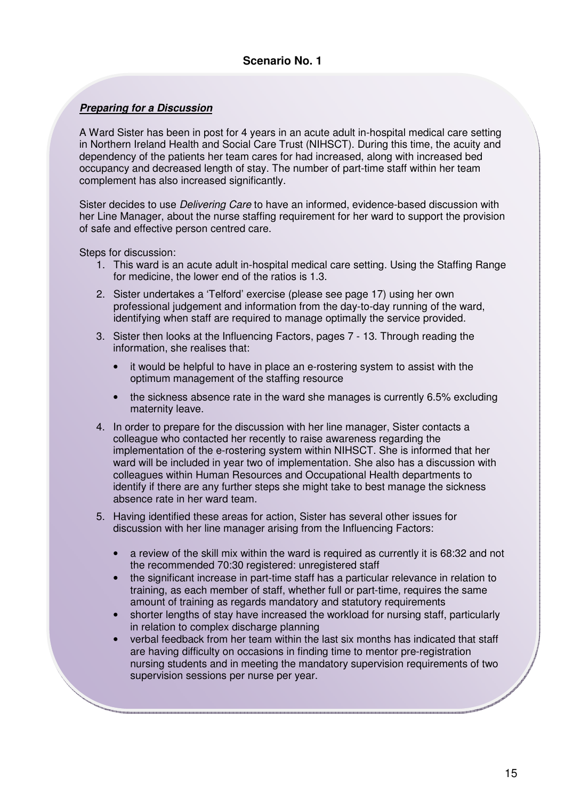#### **Preparing for a Discussion**

A Ward Sister has been in post for 4 years in an acute adult in-hospital medical care setting in Northern Ireland Health and Social Care Trust (NIHSCT). During this time, the acuity and dependency of the patients her team cares for had increased, along with increased bed occupancy and decreased length of stay. The number of part-time staff within her team complement has also increased significantly.

Sister decides to use *Delivering Care* to have an informed, evidence-based discussion with her Line Manager, about the nurse staffing requirement for her ward to support the provision of safe and effective person centred care.

Steps for discussion:

- 1. This ward is an acute adult in-hospital medical care setting. Using the Staffing Range for medicine, the lower end of the ratios is 1.3.
- 2. Sister undertakes a 'Telford' exercise (please see page 17) using her own professional judgement and information from the day-to-day running of the ward, identifying when staff are required to manage optimally the service provided.
- 3. Sister then looks at the Influencing Factors, pages 7 13. Through reading the information, she realises that:
	- it would be helpful to have in place an e-rostering system to assist with the optimum management of the staffing resource
	- the sickness absence rate in the ward she manages is currently 6.5% excluding maternity leave.
- 4. In order to prepare for the discussion with her line manager, Sister contacts a colleague who contacted her recently to raise awareness regarding the implementation of the e-rostering system within NIHSCT. She is informed that her ward will be included in year two of implementation. She also has a discussion with colleagues within Human Resources and Occupational Health departments to identify if there are any further steps she might take to best manage the sickness absence rate in her ward team.
- 5. Having identified these areas for action, Sister has several other issues for discussion with her line manager arising from the Influencing Factors:
	- a review of the skill mix within the ward is required as currently it is 68:32 and not the recommended 70:30 registered: unregistered staff
	- the significant increase in part-time staff has a particular relevance in relation to training, as each member of staff, whether full or part-time, requires the same amount of training as regards mandatory and statutory requirements
	- shorter lengths of stay have increased the workload for nursing staff, particularly in relation to complex discharge planning
	- verbal feedback from her team within the last six months has indicated that staff are having difficulty on occasions in finding time to mentor pre-registration nursing students and in meeting the mandatory supervision requirements of two supervision sessions per nurse per year.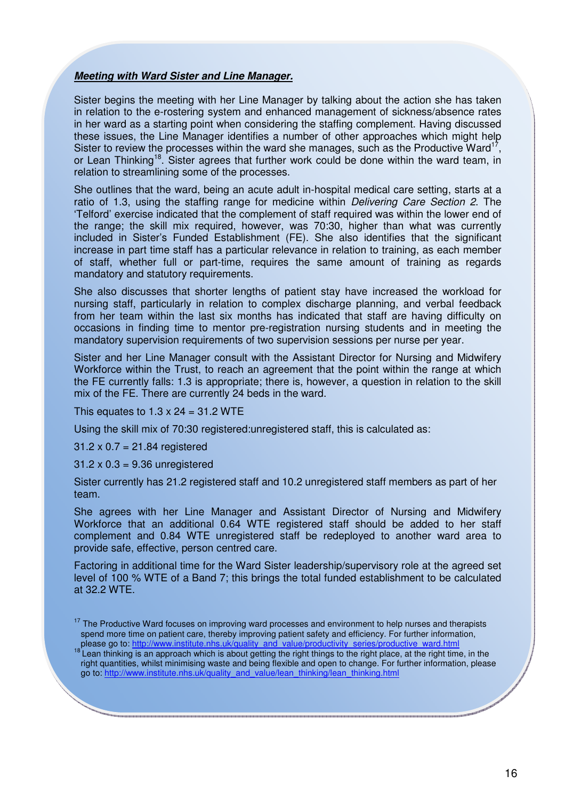#### **Meeting with Ward Sister and Line Manager.**

Sister begins the meeting with her Line Manager by talking about the action she has taken in relation to the e-rostering system and enhanced management of sickness/absence rates in her ward as a starting point when considering the staffing complement. Having discussed these issues, the Line Manager identifies a number of other approaches which might help Sister to review the processes within the ward she manages, such as the Productive Ward<sup>1</sup> , or Lean Thinking<sup>18</sup>. Sister agrees that further work could be done within the ward team, in relation to streamlining some of the processes.

She outlines that the ward, being an acute adult in-hospital medical care setting, starts at a ratio of 1.3, using the staffing range for medicine within Delivering Care Section 2. The 'Telford' exercise indicated that the complement of staff required was within the lower end of the range; the skill mix required, however, was 70:30, higher than what was currently included in Sister's Funded Establishment (FE). She also identifies that the significant increase in part time staff has a particular relevance in relation to training, as each member of staff, whether full or part-time, requires the same amount of training as regards mandatory and statutory requirements.

She also discusses that shorter lengths of patient stay have increased the workload for nursing staff, particularly in relation to complex discharge planning, and verbal feedback from her team within the last six months has indicated that staff are having difficulty on occasions in finding time to mentor pre-registration nursing students and in meeting the mandatory supervision requirements of two supervision sessions per nurse per year.

Sister and her Line Manager consult with the Assistant Director for Nursing and Midwifery Workforce within the Trust, to reach an agreement that the point within the range at which the FE currently falls: 1.3 is appropriate; there is, however, a question in relation to the skill mix of the FE. There are currently 24 beds in the ward.

This equates to  $1.3 \times 24 = 31.2$  WTE

Using the skill mix of 70:30 registered:unregistered staff, this is calculated as:

 $31.2 \times 0.7 = 21.84$  registered

31.2 x 0.3 = 9.36 unregistered

Sister currently has 21.2 registered staff and 10.2 unregistered staff members as part of her team.

She agrees with her Line Manager and Assistant Director of Nursing and Midwifery Workforce that an additional 0.64 WTE registered staff should be added to her staff complement and 0.84 WTE unregistered staff be redeployed to another ward area to provide safe, effective, person centred care.

Factoring in additional time for the Ward Sister leadership/supervisory role at the agreed set level of 100 % WTE of a Band 7; this brings the total funded establishment to be calculated at 32.2 WTE.

 $17$  The Productive Ward focuses on improving ward processes and environment to help nurses and therapists spend more time on patient care, thereby improving patient safety and efficiency. For further information, please go to: http://www.institute.nhs.uk/quality\_and\_value/productivity\_series/productive\_ward.html

<sup>&</sup>lt;sup>18'</sup>Lean thinking is an approach which is about getting the right things to the right place, at the right time, in the right quantities, whilst minimising waste and being flexible and open to change. For further information, please go to: http://www.institute.nhs.uk/quality\_and\_value/lean\_thinking/lean\_thinking.html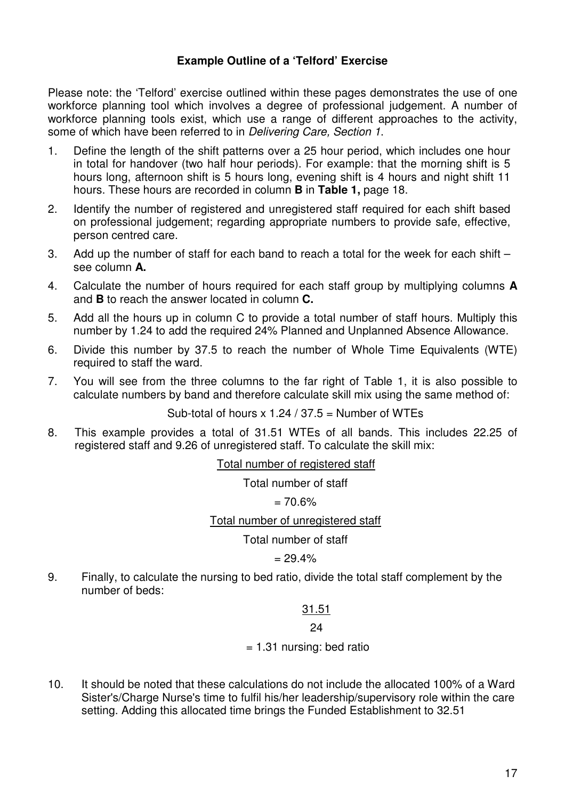## **Example Outline of a 'Telford' Exercise**

Please note: the 'Telford' exercise outlined within these pages demonstrates the use of one workforce planning tool which involves a degree of professional judgement. A number of workforce planning tools exist, which use a range of different approaches to the activity, some of which have been referred to in Delivering Care, Section 1.

- 1. Define the length of the shift patterns over a 25 hour period, which includes one hour in total for handover (two half hour periods). For example: that the morning shift is 5 hours long, afternoon shift is 5 hours long, evening shift is 4 hours and night shift 11 hours. These hours are recorded in column **B** in **Table 1,** page 18.
- 2. Identify the number of registered and unregistered staff required for each shift based on professional judgement; regarding appropriate numbers to provide safe, effective, person centred care.
- 3. Add up the number of staff for each band to reach a total for the week for each shift see column **A.**
- 4. Calculate the number of hours required for each staff group by multiplying columns **A**  and **B** to reach the answer located in column **C.**
- 5. Add all the hours up in column C to provide a total number of staff hours. Multiply this number by 1.24 to add the required 24% Planned and Unplanned Absence Allowance.
- 6. Divide this number by 37.5 to reach the number of Whole Time Equivalents (WTE) required to staff the ward.
- 7. You will see from the three columns to the far right of Table 1, it is also possible to calculate numbers by band and therefore calculate skill mix using the same method of:

Sub-total of hours  $x$  1.24 / 37.5 = Number of WTEs

8. This example provides a total of 31.51 WTEs of all bands. This includes 22.25 of registered staff and 9.26 of unregistered staff. To calculate the skill mix:

Total number of registered staff

Total number of staff

 $= 70.6\%$ 

Total number of unregistered staff

Total number of staff

 $- 29.4%$ 

9. Finally, to calculate the nursing to bed ratio, divide the total staff complement by the number of beds:

## 31.51

24

 $= 1.31$  nursing: bed ratio

10. It should be noted that these calculations do not include the allocated 100% of a Ward Sister's/Charge Nurse's time to fulfil his/her leadership/supervisory role within the care setting. Adding this allocated time brings the Funded Establishment to 32.51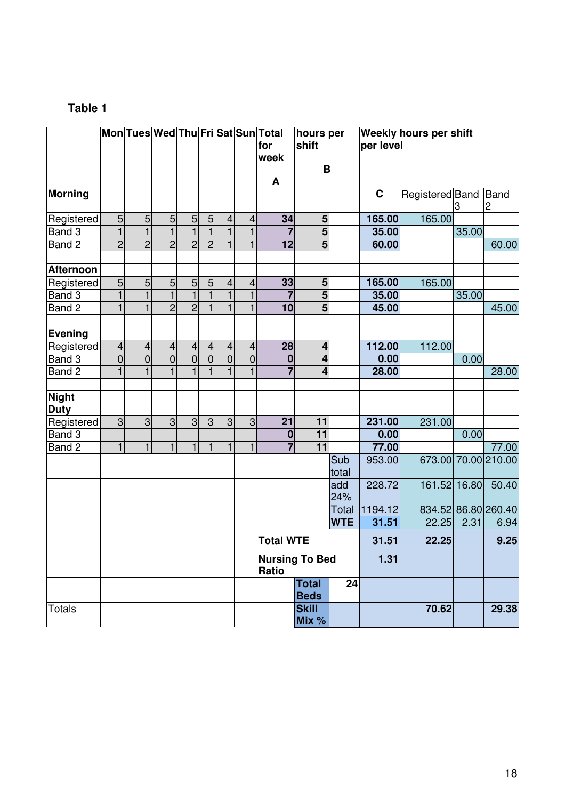# **Table 1**

|                             |                         |                |                          |                         |                |                         |                         | Mon Tues Wed Thu Fri Sat Sun Total<br>for<br>week<br>A | hours per<br>shift<br>B     |              | Weekly hours per shift<br>per level |                 |       |                        |
|-----------------------------|-------------------------|----------------|--------------------------|-------------------------|----------------|-------------------------|-------------------------|--------------------------------------------------------|-----------------------------|--------------|-------------------------------------|-----------------|-------|------------------------|
| <b>Morning</b>              |                         |                |                          |                         |                |                         |                         |                                                        |                             |              | $\mathbf C$                         | Registered Band | З     | Band<br>$\overline{c}$ |
| Registered                  | 5                       | $\overline{5}$ | $\overline{5}$           | $\mathbf 5$             | $\mathbf 5$    | $\overline{\mathbf{4}}$ | $\overline{4}$          | 34                                                     | $5\phantom{.0}$             |              | 165.00                              | 165.00          |       |                        |
| Band 3                      | $\mathbf{1}$            | $\overline{1}$ | $\overline{1}$           | $\mathbf{1}$            | $\overline{1}$ | $\overline{1}$          | $\mathbf{1}$            |                                                        | $\overline{5}$              |              | 35.00                               |                 | 35.00 |                        |
| Band 2                      | $\overline{2}$          | $\overline{2}$ | $\overline{2}$           | $\overline{2}$          | $\overline{2}$ | $\mathbf{1}$            | $\mathbf{1}$            | 12                                                     | $\overline{5}$              |              | 60.00                               |                 |       | 60.00                  |
| <b>Afternoon</b>            |                         |                |                          |                         |                |                         |                         |                                                        |                             |              |                                     |                 |       |                        |
| Registered                  | 5                       | 5              | $\mathbf 5$              | 5                       | $\overline{5}$ | $\overline{\mathbf{4}}$ | $\overline{\mathbf{4}}$ | 33                                                     | 5                           |              | 165.00                              | 165.00          |       |                        |
| Band 3                      | $\mathbf{1}$            | $\mathbf{1}$   | $\mathbf{1}$             | $\mathbf{1}$            | $\mathbf{1}$   | $\mathbf{1}$            | $\mathbf{1}$            | $\overline{7}$                                         | $\overline{\mathbf{5}}$     |              | 35.00                               |                 | 35.00 |                        |
| Band 2                      | 1                       | $\mathbf{1}$   | $\overline{2}$           | $\overline{2}$          | $\mathbf{1}$   | $\mathbf{1}$            | $\mathbf{1}$            | 10                                                     | 5                           |              | 45.00                               |                 |       | 45.00                  |
| <b>Evening</b>              |                         |                |                          |                         |                |                         |                         |                                                        |                             |              |                                     |                 |       |                        |
| Registered                  | $\overline{\mathbf{4}}$ | $\overline{4}$ | $\overline{\mathcal{A}}$ | $\overline{\mathbf{r}}$ | $\overline{4}$ | $\overline{4}$          | $\overline{4}$          | 28                                                     | $\overline{\mathbf{4}}$     |              | 112.00                              | 112.00          |       |                        |
| Band 3                      | $\mathbf 0$             | $\overline{0}$ | $\overline{0}$           | $\overline{0}$          | $\overline{0}$ | $\overline{0}$          | $\overline{0}$          | $\bf{0}$                                               | $\overline{\mathbf{4}}$     |              | 0.00                                |                 | 0.00  |                        |
| Band 2                      | $\mathbf{1}$            | $\mathbf{1}$   | $\mathbf{1}$             | $\mathbf{1}$            | $\mathbf{1}$   | $\mathbf{1}$            | $\mathbf{1}$            | $\overline{7}$                                         | $\overline{\mathbf{4}}$     |              | 28.00                               |                 |       | 28.00                  |
| <b>Night</b><br><b>Duty</b> |                         |                |                          |                         |                |                         |                         |                                                        |                             |              |                                     |                 |       |                        |
| Registered                  | 3                       | 3              | 3                        | 3                       | 3              | 3                       | 3                       | 21                                                     | 11                          |              | 231.00                              | 231.00          |       |                        |
| Band 3                      |                         |                |                          |                         |                |                         |                         | $\bf{0}$                                               | $\overline{11}$             |              | 0.00                                |                 | 0.00  |                        |
| Band 2                      | $\mathbf{1}$            | $\mathbf{1}$   | $\mathbf{1}$             | $\mathbf{1}$            | $\mathbf{1}$   | $\mathbf{1}$            | $\mathbf{1}$            | $\overline{7}$                                         | $\overline{11}$             |              | 77.00                               |                 |       | 77.00                  |
|                             |                         |                |                          |                         |                |                         |                         |                                                        |                             | Sub<br>total | 953.00                              | 673.00          |       | 70.00 210.00           |
|                             |                         |                |                          |                         |                |                         |                         |                                                        |                             | add<br>24%   | 228.72                              | 161.52 16.80    |       | 50.40                  |
|                             |                         |                |                          |                         |                |                         |                         |                                                        |                             | Total        | 1194.12                             |                 |       | 834.52 86.80 260.40    |
|                             |                         |                |                          |                         |                |                         |                         |                                                        |                             | <b>WTE</b>   | 31.51                               | 22.25           | 2.31  | 6.94                   |
|                             |                         |                |                          |                         |                |                         |                         | <b>Total WTE</b>                                       |                             |              | 31.51                               | 22.25           |       | 9.25                   |
|                             |                         |                |                          |                         |                |                         |                         | <b>Nursing To Bed</b><br>Ratio                         |                             |              | 1.31                                |                 |       |                        |
|                             |                         |                |                          |                         |                |                         |                         |                                                        | <b>Total</b><br><b>Beds</b> | 24           |                                     |                 |       |                        |
| <b>Totals</b>               |                         |                |                          |                         |                |                         |                         |                                                        | <b>Skill</b><br>Mix %       |              |                                     | 70.62           |       | 29.38                  |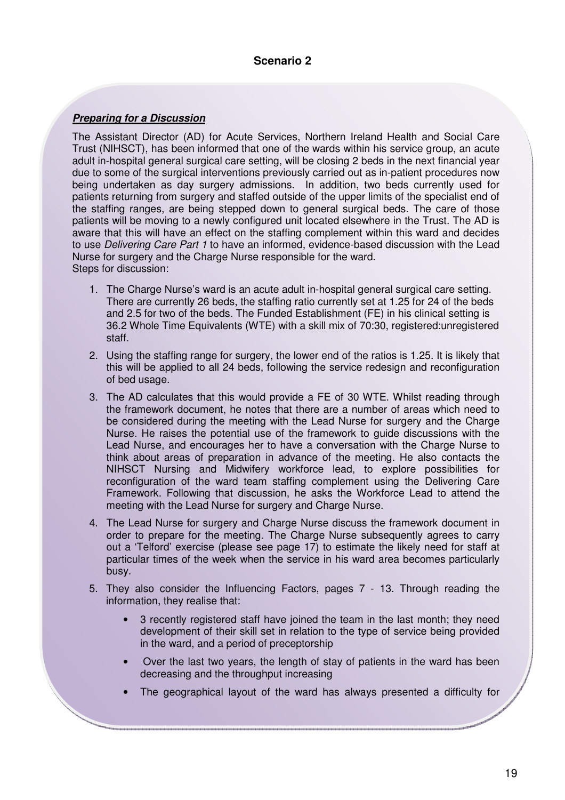#### **Scenario 2**

#### **Preparing for a Discussion**

The Assistant Director (AD) for Acute Services, Northern Ireland Health and Social Care Trust (NIHSCT), has been informed that one of the wards within his service group, an acute adult in-hospital general surgical care setting, will be closing 2 beds in the next financial year due to some of the surgical interventions previously carried out as in-patient procedures now being undertaken as day surgery admissions. In addition, two beds currently used for patients returning from surgery and staffed outside of the upper limits of the specialist end of the staffing ranges, are being stepped down to general surgical beds. The care of those patients will be moving to a newly configured unit located elsewhere in the Trust. The AD is aware that this will have an effect on the staffing complement within this ward and decides to use Delivering Care Part 1 to have an informed, evidence-based discussion with the Lead Nurse for surgery and the Charge Nurse responsible for the ward. Steps for discussion:

- 1. The Charge Nurse's ward is an acute adult in-hospital general surgical care setting. There are currently 26 beds, the staffing ratio currently set at 1.25 for 24 of the beds and 2.5 for two of the beds. The Funded Establishment (FE) in his clinical setting is 36.2 Whole Time Equivalents (WTE) with a skill mix of 70:30, registered:unregistered staff.
- 2. Using the staffing range for surgery, the lower end of the ratios is 1.25. It is likely that this will be applied to all 24 beds, following the service redesign and reconfiguration of bed usage.
- 3. The AD calculates that this would provide a FE of 30 WTE. Whilst reading through the framework document, he notes that there are a number of areas which need to be considered during the meeting with the Lead Nurse for surgery and the Charge Nurse. He raises the potential use of the framework to guide discussions with the Lead Nurse, and encourages her to have a conversation with the Charge Nurse to think about areas of preparation in advance of the meeting. He also contacts the NIHSCT Nursing and Midwifery workforce lead, to explore possibilities for reconfiguration of the ward team staffing complement using the Delivering Care Framework. Following that discussion, he asks the Workforce Lead to attend the meeting with the Lead Nurse for surgery and Charge Nurse.
- 4. The Lead Nurse for surgery and Charge Nurse discuss the framework document in order to prepare for the meeting. The Charge Nurse subsequently agrees to carry out a 'Telford' exercise (please see page 17) to estimate the likely need for staff at particular times of the week when the service in his ward area becomes particularly busy.
- 5. They also consider the Influencing Factors, pages 7 13. Through reading the information, they realise that:
	- 3 recently registered staff have joined the team in the last month; they need development of their skill set in relation to the type of service being provided in the ward, and a period of preceptorship
	- Over the last two years, the length of stay of patients in the ward has been decreasing and the throughput increasing
	- The geographical layout of the ward has always presented a difficulty for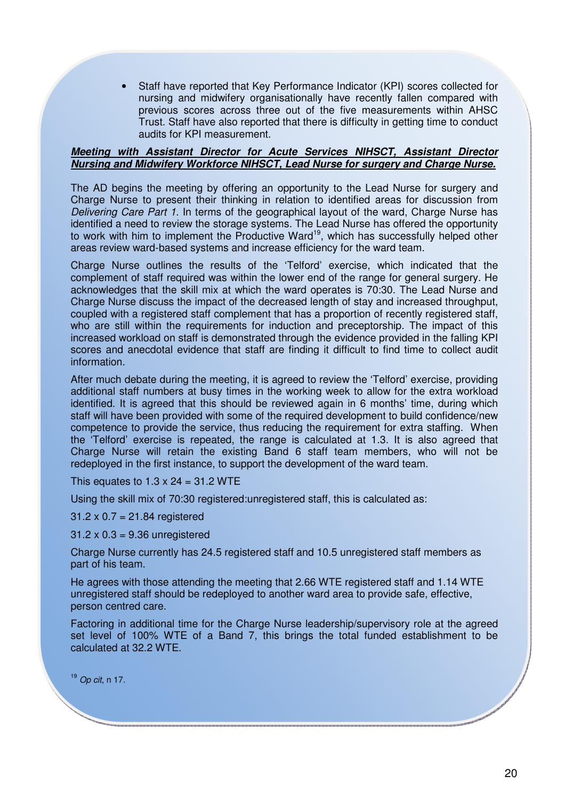• Staff have reported that Key Performance Indicator (KPI) scores collected for nursing and midwifery organisationally have recently fallen compared with previous scores across three out of the five measurements within AHSC Trust. Staff have also reported that there is difficulty in getting time to conduct audits for KPI measurement.

#### **Meeting with Assistant Director for Acute Services NIHSCT, Assistant Director Nursing and Midwifery Workforce NIHSCT, Lead Nurse for surgery and Charge Nurse.**

The AD begins the meeting by offering an opportunity to the Lead Nurse for surgery and Charge Nurse to present their thinking in relation to identified areas for discussion from Delivering Care Part 1. In terms of the geographical layout of the ward, Charge Nurse has identified a need to review the storage systems. The Lead Nurse has offered the opportunity to work with him to implement the Productive Ward<sup>19</sup>, which has successfully helped other areas review ward-based systems and increase efficiency for the ward team.

Charge Nurse outlines the results of the 'Telford' exercise, which indicated that the complement of staff required was within the lower end of the range for general surgery. He acknowledges that the skill mix at which the ward operates is 70:30. The Lead Nurse and Charge Nurse discuss the impact of the decreased length of stay and increased throughput, coupled with a registered staff complement that has a proportion of recently registered staff, who are still within the requirements for induction and preceptorship. The impact of this increased workload on staff is demonstrated through the evidence provided in the falling KPI scores and anecdotal evidence that staff are finding it difficult to find time to collect audit information.

After much debate during the meeting, it is agreed to review the 'Telford' exercise, providing additional staff numbers at busy times in the working week to allow for the extra workload identified. It is agreed that this should be reviewed again in 6 months' time, during which staff will have been provided with some of the required development to build confidence/new competence to provide the service, thus reducing the requirement for extra staffing. When the 'Telford' exercise is repeated, the range is calculated at 1.3. It is also agreed that Charge Nurse will retain the existing Band 6 staff team members, who will not be redeployed in the first instance, to support the development of the ward team.

This equates to  $1.3 \times 24 = 31.2$  WTE

Using the skill mix of 70:30 registered:unregistered staff, this is calculated as:

31.2 x 0.7 = 21.84 registered

 $31.2 \times 0.3 = 9.36$  unregistered

Charge Nurse currently has 24.5 registered staff and 10.5 unregistered staff members as part of his team.

He agrees with those attending the meeting that 2.66 WTE registered staff and 1.14 WTE unregistered staff should be redeployed to another ward area to provide safe, effective, person centred care.

Factoring in additional time for the Charge Nurse leadership/supervisory role at the agreed set level of 100% WTE of a Band 7, this brings the total funded establishment to be calculated at 32.2 WTE.

<sup>19</sup> Op cit, n 17.